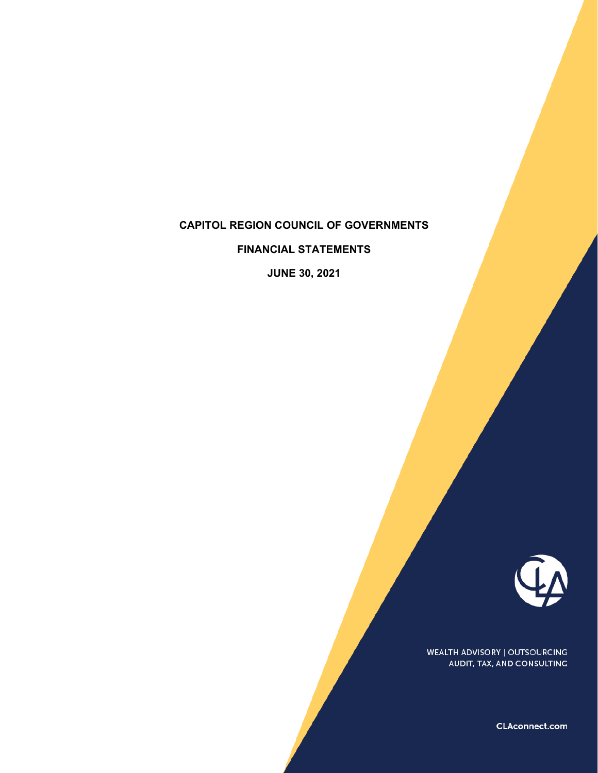#### **CAPITOL REGION COUNCIL OF GOVERNMENTS**

**FINANCIAL STATEMENTS** 

**JUNE 30, 2021**



WEALTH ADVISORY | OUTSOURCING AUDIT, TAX, AND CONSULTING

CLAconnect.com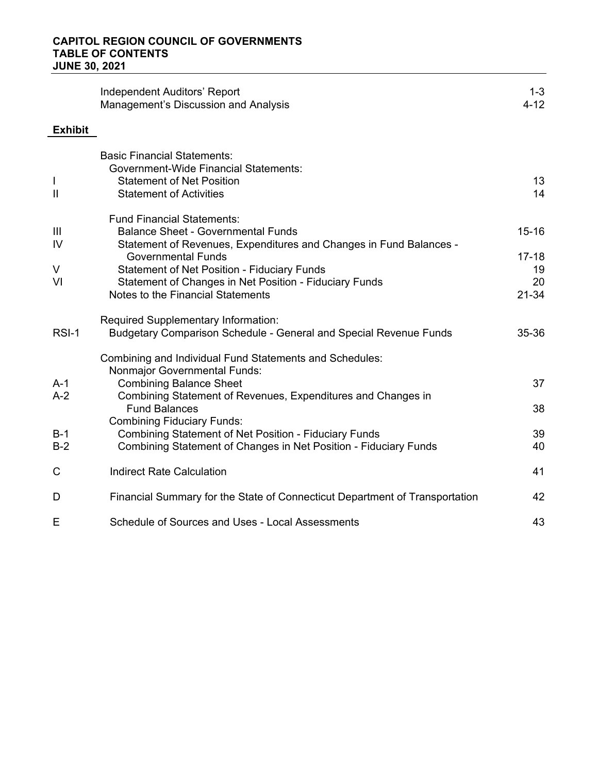|                | Independent Auditors' Report<br>Management's Discussion and Analysis        | $1 - 3$<br>$4 - 12$ |
|----------------|-----------------------------------------------------------------------------|---------------------|
| <b>Exhibit</b> |                                                                             |                     |
|                | <b>Basic Financial Statements:</b>                                          |                     |
|                | <b>Government-Wide Financial Statements:</b>                                |                     |
| L              | <b>Statement of Net Position</b>                                            | 13                  |
| $\mathbf{II}$  | <b>Statement of Activities</b>                                              | 14                  |
|                | <b>Fund Financial Statements:</b>                                           |                     |
| Ш              | <b>Balance Sheet - Governmental Funds</b>                                   | $15 - 16$           |
| IV             | Statement of Revenues, Expenditures and Changes in Fund Balances -          |                     |
|                | <b>Governmental Funds</b>                                                   | $17 - 18$           |
| V              | <b>Statement of Net Position - Fiduciary Funds</b>                          | 19                  |
| VI             | Statement of Changes in Net Position - Fiduciary Funds                      | 20                  |
|                | Notes to the Financial Statements                                           | $21 - 34$           |
|                | Required Supplementary Information:                                         |                     |
| RSI-1          | <b>Budgetary Comparison Schedule - General and Special Revenue Funds</b>    | 35-36               |
|                | Combining and Individual Fund Statements and Schedules:                     |                     |
|                | <b>Nonmajor Governmental Funds:</b>                                         |                     |
| $A-1$          | <b>Combining Balance Sheet</b>                                              | 37                  |
| $A-2$          | Combining Statement of Revenues, Expenditures and Changes in                |                     |
|                | <b>Fund Balances</b>                                                        | 38                  |
|                | <b>Combining Fiduciary Funds:</b>                                           |                     |
| $B-1$          | <b>Combining Statement of Net Position - Fiduciary Funds</b>                | 39                  |
| $B-2$          | Combining Statement of Changes in Net Position - Fiduciary Funds            | 40                  |
| C              | <b>Indirect Rate Calculation</b>                                            | 41                  |
| D              | Financial Summary for the State of Connecticut Department of Transportation | 42                  |
| E              | Schedule of Sources and Uses - Local Assessments                            | 43                  |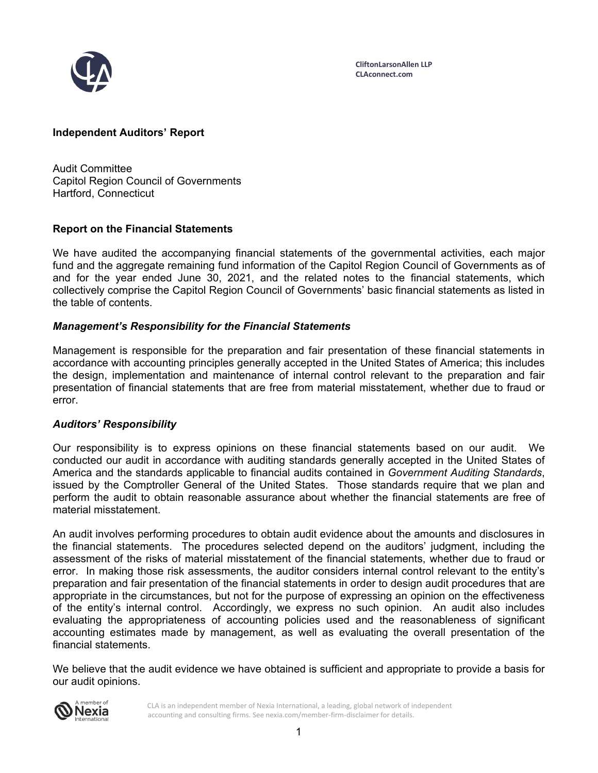

**CliftonLarsonAllen LLP CLAconnect.com**

## **Independent Auditors' Report**

Audit Committee Capitol Region Council of Governments Hartford, Connecticut

#### **Report on the Financial Statements**

We have audited the accompanying financial statements of the governmental activities, each major fund and the aggregate remaining fund information of the Capitol Region Council of Governments as of and for the year ended June 30, 2021, and the related notes to the financial statements, which collectively comprise the Capitol Region Council of Governments' basic financial statements as listed in the table of contents.

#### *Management's Responsibility for the Financial Statements*

Management is responsible for the preparation and fair presentation of these financial statements in accordance with accounting principles generally accepted in the United States of America; this includes the design, implementation and maintenance of internal control relevant to the preparation and fair presentation of financial statements that are free from material misstatement, whether due to fraud or error.

#### *Auditors' Responsibility*

Our responsibility is to express opinions on these financial statements based on our audit. We conducted our audit in accordance with auditing standards generally accepted in the United States of America and the standards applicable to financial audits contained in *Government Auditing Standards*, issued by the Comptroller General of the United States. Those standards require that we plan and perform the audit to obtain reasonable assurance about whether the financial statements are free of material misstatement.

An audit involves performing procedures to obtain audit evidence about the amounts and disclosures in the financial statements. The procedures selected depend on the auditors' judgment, including the assessment of the risks of material misstatement of the financial statements, whether due to fraud or error. In making those risk assessments, the auditor considers internal control relevant to the entity's preparation and fair presentation of the financial statements in order to design audit procedures that are appropriate in the circumstances, but not for the purpose of expressing an opinion on the effectiveness of the entity's internal control. Accordingly, we express no such opinion. An audit also includes evaluating the appropriateness of accounting policies used and the reasonableness of significant accounting estimates made by management, as well as evaluating the overall presentation of the financial statements.

We believe that the audit evidence we have obtained is sufficient and appropriate to provide a basis for our audit opinions.



CLA is an independent member of Nexia International, a leading, global network of independent accounting and consulting firms. See nexia.com/member-firm-disclaimer for details.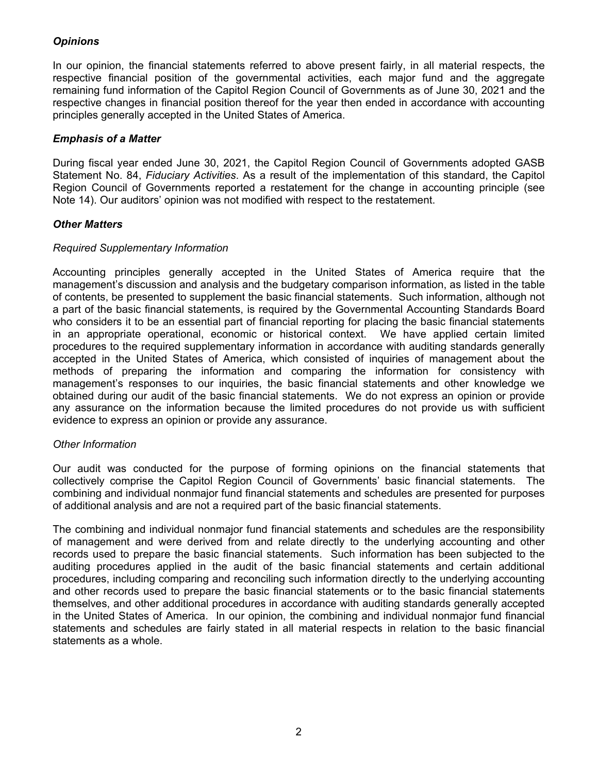# *Opinions*

In our opinion, the financial statements referred to above present fairly, in all material respects, the respective financial position of the governmental activities, each major fund and the aggregate remaining fund information of the Capitol Region Council of Governments as of June 30, 2021 and the respective changes in financial position thereof for the year then ended in accordance with accounting principles generally accepted in the United States of America.

## *Emphasis of a Matter*

During fiscal year ended June 30, 2021, the Capitol Region Council of Governments adopted GASB Statement No. 84, *Fiduciary Activities*. As a result of the implementation of this standard, the Capitol Region Council of Governments reported a restatement for the change in accounting principle (see Note 14). Our auditors' opinion was not modified with respect to the restatement.

## *Other Matters*

## *Required Supplementary Information*

Accounting principles generally accepted in the United States of America require that the management's discussion and analysis and the budgetary comparison information, as listed in the table of contents, be presented to supplement the basic financial statements. Such information, although not a part of the basic financial statements, is required by the Governmental Accounting Standards Board who considers it to be an essential part of financial reporting for placing the basic financial statements in an appropriate operational, economic or historical context. We have applied certain limited procedures to the required supplementary information in accordance with auditing standards generally accepted in the United States of America, which consisted of inquiries of management about the methods of preparing the information and comparing the information for consistency with management's responses to our inquiries, the basic financial statements and other knowledge we obtained during our audit of the basic financial statements. We do not express an opinion or provide any assurance on the information because the limited procedures do not provide us with sufficient evidence to express an opinion or provide any assurance.

## *Other Information*

Our audit was conducted for the purpose of forming opinions on the financial statements that collectively comprise the Capitol Region Council of Governments' basic financial statements. The combining and individual nonmajor fund financial statements and schedules are presented for purposes of additional analysis and are not a required part of the basic financial statements.

The combining and individual nonmajor fund financial statements and schedules are the responsibility of management and were derived from and relate directly to the underlying accounting and other records used to prepare the basic financial statements. Such information has been subjected to the auditing procedures applied in the audit of the basic financial statements and certain additional procedures, including comparing and reconciling such information directly to the underlying accounting and other records used to prepare the basic financial statements or to the basic financial statements themselves, and other additional procedures in accordance with auditing standards generally accepted in the United States of America. In our opinion, the combining and individual nonmajor fund financial statements and schedules are fairly stated in all material respects in relation to the basic financial statements as a whole.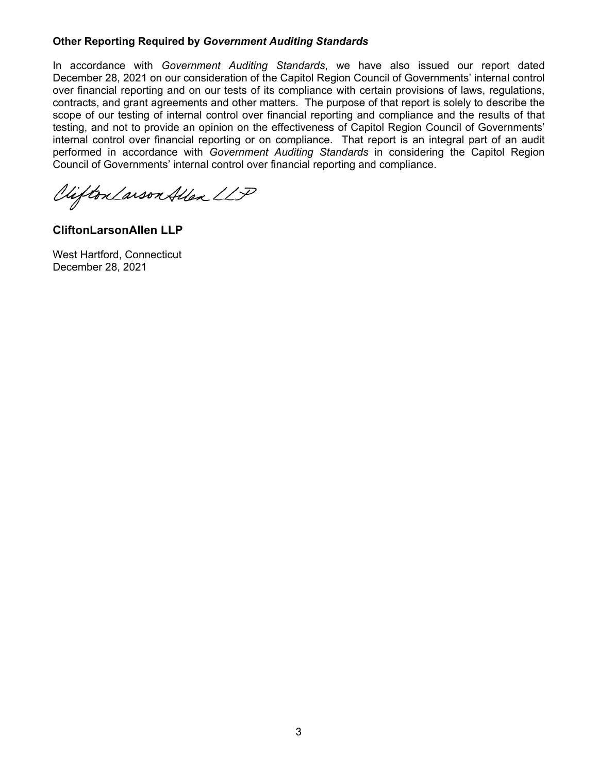## **Other Reporting Required by** *Government Auditing Standards*

In accordance with *Government Auditing Standards*, we have also issued our report dated December 28, 2021 on our consideration of the Capitol Region Council of Governments' internal control over financial reporting and on our tests of its compliance with certain provisions of laws, regulations, contracts, and grant agreements and other matters. The purpose of that report is solely to describe the scope of our testing of internal control over financial reporting and compliance and the results of that testing, and not to provide an opinion on the effectiveness of Capitol Region Council of Governments' internal control over financial reporting or on compliance. That report is an integral part of an audit performed in accordance with *Government Auditing Standards* in considering the Capitol Region Council of Governments' internal control over financial reporting and compliance.

Vifton Larson Allen LLP

**CliftonLarsonAllen LLP** 

West Hartford, Connecticut December 28, 2021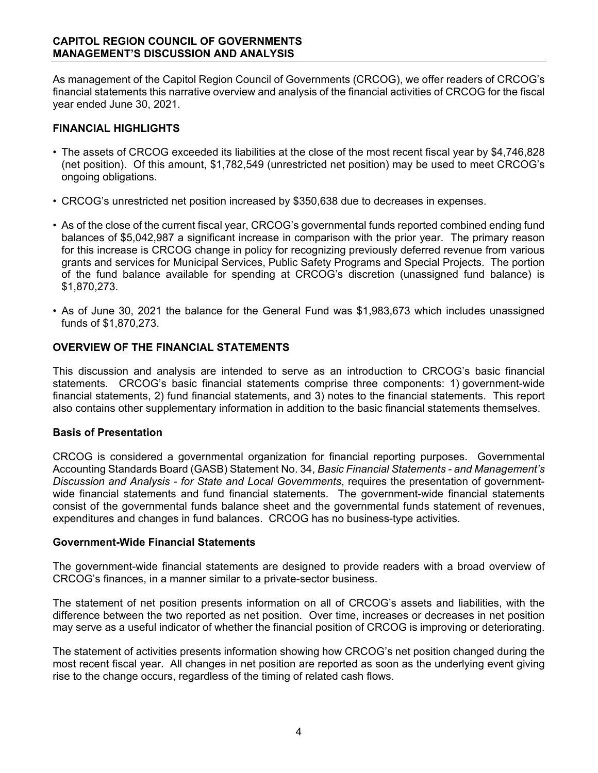As management of the Capitol Region Council of Governments (CRCOG), we offer readers of CRCOG's financial statements this narrative overview and analysis of the financial activities of CRCOG for the fiscal year ended June 30, 2021.

# **FINANCIAL HIGHLIGHTS**

- The assets of CRCOG exceeded its liabilities at the close of the most recent fiscal year by \$4,746,828 (net position). Of this amount, \$1,782,549 (unrestricted net position) may be used to meet CRCOG's ongoing obligations.
- CRCOG's unrestricted net position increased by \$350,638 due to decreases in expenses.
- As of the close of the current fiscal year, CRCOG's governmental funds reported combined ending fund balances of \$5,042,987 a significant increase in comparison with the prior year. The primary reason for this increase is CRCOG change in policy for recognizing previously deferred revenue from various grants and services for Municipal Services, Public Safety Programs and Special Projects. The portion of the fund balance available for spending at CRCOG's discretion (unassigned fund balance) is \$1,870,273.
- As of June 30, 2021 the balance for the General Fund was \$1,983,673 which includes unassigned funds of \$1,870,273.

## **OVERVIEW OF THE FINANCIAL STATEMENTS**

This discussion and analysis are intended to serve as an introduction to CRCOG's basic financial statements. CRCOG's basic financial statements comprise three components: 1) government-wide financial statements, 2) fund financial statements, and 3) notes to the financial statements. This report also contains other supplementary information in addition to the basic financial statements themselves.

## **Basis of Presentation**

CRCOG is considered a governmental organization for financial reporting purposes. Governmental Accounting Standards Board (GASB) Statement No. 34, *Basic Financial Statements - and Management's Discussion and Analysis - for State and Local Governments*, requires the presentation of governmentwide financial statements and fund financial statements. The government-wide financial statements consist of the governmental funds balance sheet and the governmental funds statement of revenues, expenditures and changes in fund balances. CRCOG has no business-type activities.

## **Government-Wide Financial Statements**

The government-wide financial statements are designed to provide readers with a broad overview of CRCOG's finances, in a manner similar to a private-sector business.

The statement of net position presents information on all of CRCOG's assets and liabilities, with the difference between the two reported as net position. Over time, increases or decreases in net position may serve as a useful indicator of whether the financial position of CRCOG is improving or deteriorating.

The statement of activities presents information showing how CRCOG's net position changed during the most recent fiscal year. All changes in net position are reported as soon as the underlying event giving rise to the change occurs, regardless of the timing of related cash flows.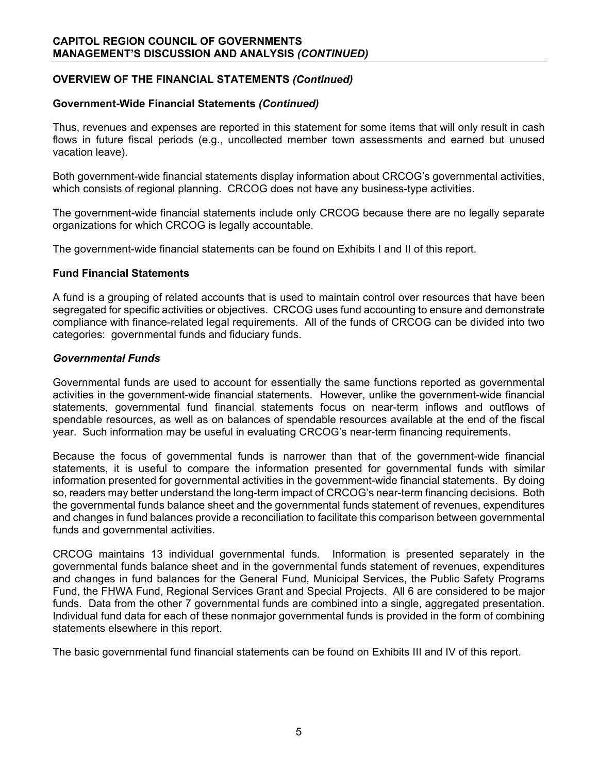# **OVERVIEW OF THE FINANCIAL STATEMENTS** *(Continued)*

## **Government-Wide Financial Statements** *(Continued)*

Thus, revenues and expenses are reported in this statement for some items that will only result in cash flows in future fiscal periods (e.g., uncollected member town assessments and earned but unused vacation leave).

Both government-wide financial statements display information about CRCOG's governmental activities, which consists of regional planning. CRCOG does not have any business-type activities.

The government-wide financial statements include only CRCOG because there are no legally separate organizations for which CRCOG is legally accountable.

The government-wide financial statements can be found on Exhibits I and II of this report.

#### **Fund Financial Statements**

A fund is a grouping of related accounts that is used to maintain control over resources that have been segregated for specific activities or objectives. CRCOG uses fund accounting to ensure and demonstrate compliance with finance-related legal requirements. All of the funds of CRCOG can be divided into two categories: governmental funds and fiduciary funds.

#### *Governmental Funds*

Governmental funds are used to account for essentially the same functions reported as governmental activities in the government-wide financial statements. However, unlike the government-wide financial statements, governmental fund financial statements focus on near-term inflows and outflows of spendable resources, as well as on balances of spendable resources available at the end of the fiscal year. Such information may be useful in evaluating CRCOG's near-term financing requirements.

Because the focus of governmental funds is narrower than that of the government-wide financial statements, it is useful to compare the information presented for governmental funds with similar information presented for governmental activities in the government-wide financial statements. By doing so, readers may better understand the long-term impact of CRCOG's near-term financing decisions. Both the governmental funds balance sheet and the governmental funds statement of revenues, expenditures and changes in fund balances provide a reconciliation to facilitate this comparison between governmental funds and governmental activities.

CRCOG maintains 13 individual governmental funds. Information is presented separately in the governmental funds balance sheet and in the governmental funds statement of revenues, expenditures and changes in fund balances for the General Fund, Municipal Services, the Public Safety Programs Fund, the FHWA Fund, Regional Services Grant and Special Projects. All 6 are considered to be major funds. Data from the other 7 governmental funds are combined into a single, aggregated presentation. Individual fund data for each of these nonmajor governmental funds is provided in the form of combining statements elsewhere in this report.

The basic governmental fund financial statements can be found on Exhibits III and IV of this report.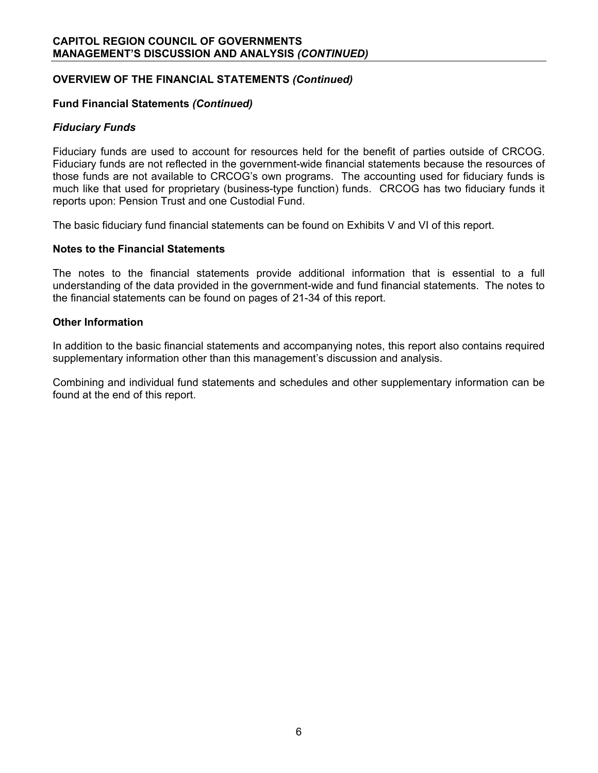# **OVERVIEW OF THE FINANCIAL STATEMENTS** *(Continued)*

## **Fund Financial Statements** *(Continued)*

#### *Fiduciary Funds*

Fiduciary funds are used to account for resources held for the benefit of parties outside of CRCOG. Fiduciary funds are not reflected in the government-wide financial statements because the resources of those funds are not available to CRCOG's own programs. The accounting used for fiduciary funds is much like that used for proprietary (business-type function) funds. CRCOG has two fiduciary funds it reports upon: Pension Trust and one Custodial Fund.

The basic fiduciary fund financial statements can be found on Exhibits V and VI of this report.

#### **Notes to the Financial Statements**

The notes to the financial statements provide additional information that is essential to a full understanding of the data provided in the government-wide and fund financial statements. The notes to the financial statements can be found on pages of 21-34 of this report.

#### **Other Information**

In addition to the basic financial statements and accompanying notes, this report also contains required supplementary information other than this management's discussion and analysis.

Combining and individual fund statements and schedules and other supplementary information can be found at the end of this report.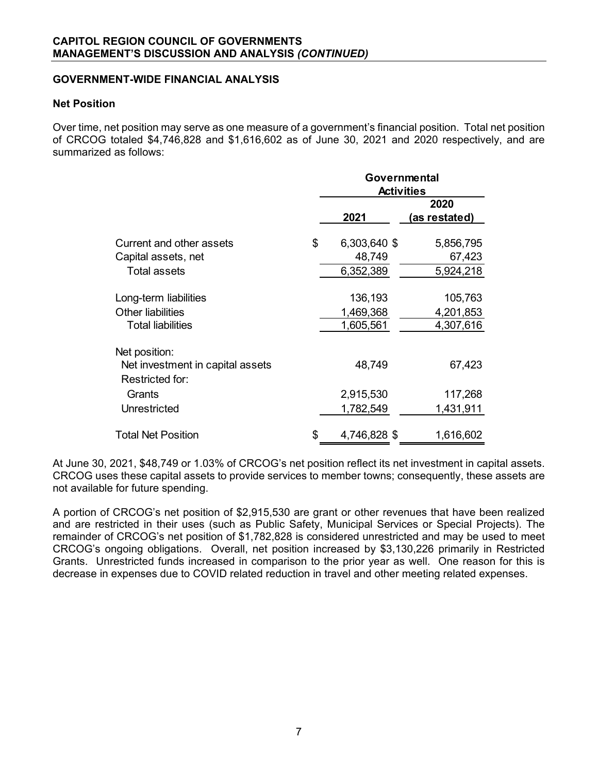## **GOVERNMENT-WIDE FINANCIAL ANALYSIS**

#### **Net Position**

Over time, net position may serve as one measure of a government's financial position. Total net position of CRCOG totaled \$4,746,828 and \$1,616,602 as of June 30, 2021 and 2020 respectively, and are summarized as follows:

|                                  | Governmental       |               |  |  |  |  |  |
|----------------------------------|--------------------|---------------|--|--|--|--|--|
|                                  | <b>Activities</b>  |               |  |  |  |  |  |
|                                  |                    | 2020          |  |  |  |  |  |
|                                  | 2021               | (as restated) |  |  |  |  |  |
|                                  |                    |               |  |  |  |  |  |
| Current and other assets         | \$<br>6,303,640 \$ | 5,856,795     |  |  |  |  |  |
| Capital assets, net              | 48,749             | 67,423        |  |  |  |  |  |
| <b>Total assets</b>              | 6,352,389          | 5,924,218     |  |  |  |  |  |
| Long-term liabilities            | 136,193            | 105,763       |  |  |  |  |  |
| <b>Other liabilities</b>         | 1,469,368          | 4,201,853     |  |  |  |  |  |
| <b>Total liabilities</b>         | 1,605,561          | 4,307,616     |  |  |  |  |  |
| Net position:                    |                    |               |  |  |  |  |  |
| Net investment in capital assets | 48,749             | 67,423        |  |  |  |  |  |
| Restricted for:                  |                    |               |  |  |  |  |  |
| Grants                           | 2,915,530          | 117,268       |  |  |  |  |  |
| Unrestricted                     | 1,782,549          | 1,431,911     |  |  |  |  |  |
| <b>Total Net Position</b>        | \$<br>4,746,828 \$ | 1,616,602     |  |  |  |  |  |

At June 30, 2021, \$48,749 or 1.03% of CRCOG's net position reflect its net investment in capital assets. CRCOG uses these capital assets to provide services to member towns; consequently, these assets are not available for future spending.

A portion of CRCOG's net position of \$2,915,530 are grant or other revenues that have been realized and are restricted in their uses (such as Public Safety, Municipal Services or Special Projects). The remainder of CRCOG's net position of \$1,782,828 is considered unrestricted and may be used to meet CRCOG's ongoing obligations. Overall, net position increased by \$3,130,226 primarily in Restricted Grants. Unrestricted funds increased in comparison to the prior year as well. One reason for this is decrease in expenses due to COVID related reduction in travel and other meeting related expenses.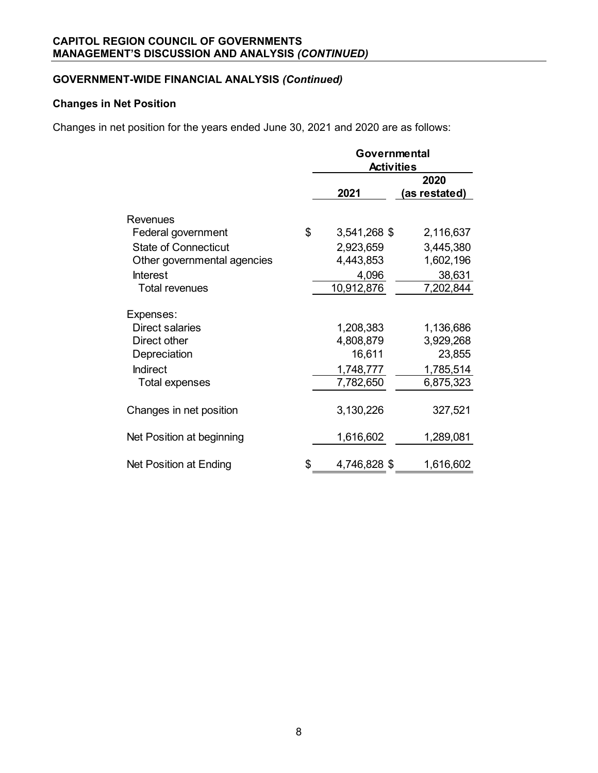# **GOVERNMENT-WIDE FINANCIAL ANALYSIS** *(Continued)*

# **Changes in Net Position**

Changes in net position for the years ended June 30, 2021 and 2020 are as follows:

|                                                                                 | Governmental<br><b>Activities</b>             |                                               |  |  |  |  |  |
|---------------------------------------------------------------------------------|-----------------------------------------------|-----------------------------------------------|--|--|--|--|--|
|                                                                                 |                                               | 2020                                          |  |  |  |  |  |
|                                                                                 | 2021                                          | (as restated)                                 |  |  |  |  |  |
| Revenues                                                                        |                                               |                                               |  |  |  |  |  |
| Federal government                                                              | \$<br>3,541,268 \$                            | 2,116,637                                     |  |  |  |  |  |
| <b>State of Connecticut</b>                                                     | 2,923,659                                     | 3,445,380                                     |  |  |  |  |  |
| Other governmental agencies                                                     | 4,443,853                                     | 1,602,196                                     |  |  |  |  |  |
| <b>Interest</b>                                                                 | 4,096                                         | 38,631                                        |  |  |  |  |  |
| <b>Total revenues</b>                                                           | 10,912,876                                    | 7,202,844                                     |  |  |  |  |  |
| Expenses:<br><b>Direct salaries</b><br>Direct other<br>Depreciation<br>Indirect | 1,208,383<br>4,808,879<br>16,611<br>1,748,777 | 1,136,686<br>3,929,268<br>23,855<br>1,785,514 |  |  |  |  |  |
| Total expenses                                                                  | 7,782,650                                     | 6,875,323                                     |  |  |  |  |  |
| Changes in net position<br>Net Position at beginning                            | 3,130,226<br>1,616,602                        | 327,521<br>1,289,081                          |  |  |  |  |  |
|                                                                                 |                                               |                                               |  |  |  |  |  |
| Net Position at Ending                                                          | \$<br>4,746,828 \$                            | 1,616,602                                     |  |  |  |  |  |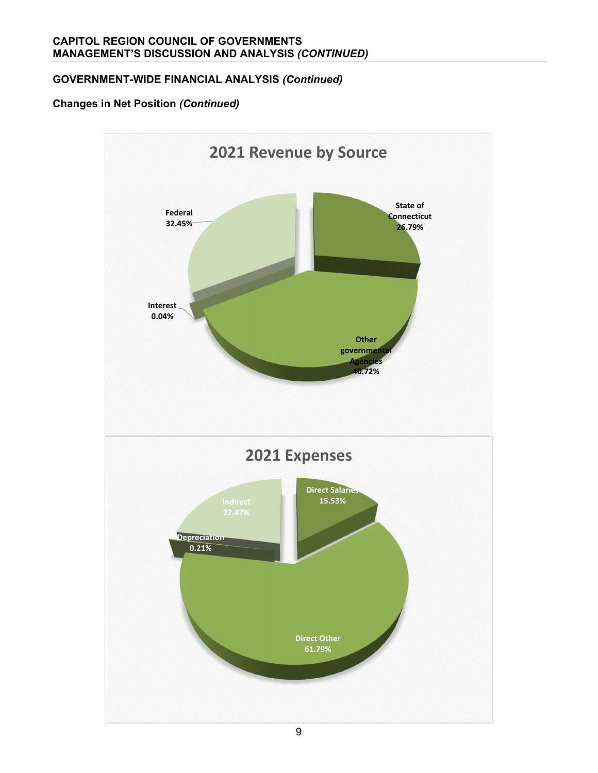# **GOVERNMENT-WIDE FINANCIAL ANALYSIS** *(Continued)*

# **Changes in Net Position** *(Continued)*

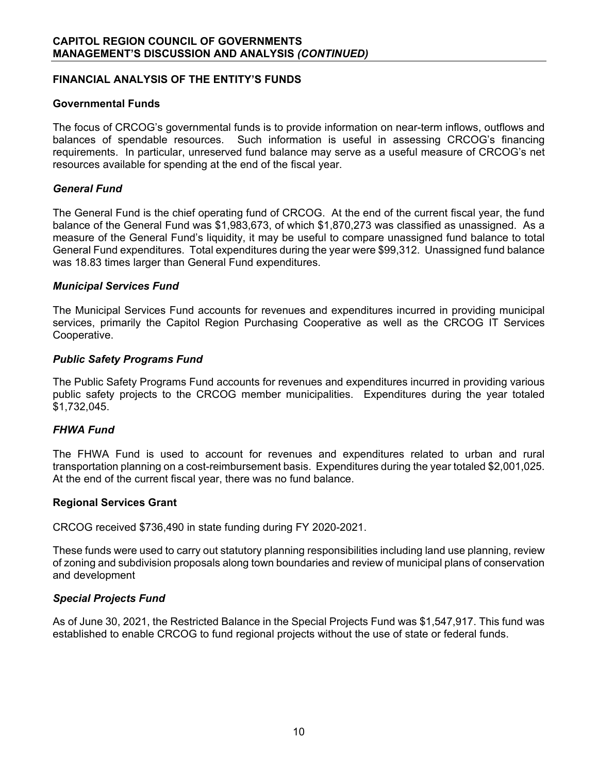## **FINANCIAL ANALYSIS OF THE ENTITY'S FUNDS**

#### **Governmental Funds**

The focus of CRCOG's governmental funds is to provide information on near-term inflows, outflows and balances of spendable resources. Such information is useful in assessing CRCOG's financing requirements. In particular, unreserved fund balance may serve as a useful measure of CRCOG's net resources available for spending at the end of the fiscal year.

#### *General Fund*

The General Fund is the chief operating fund of CRCOG. At the end of the current fiscal year, the fund balance of the General Fund was \$1,983,673, of which \$1,870,273 was classified as unassigned. As a measure of the General Fund's liquidity, it may be useful to compare unassigned fund balance to total General Fund expenditures. Total expenditures during the year were \$99,312. Unassigned fund balance was 18.83 times larger than General Fund expenditures.

#### *Municipal Services Fund*

The Municipal Services Fund accounts for revenues and expenditures incurred in providing municipal services, primarily the Capitol Region Purchasing Cooperative as well as the CRCOG IT Services Cooperative.

#### *Public Safety Programs Fund*

The Public Safety Programs Fund accounts for revenues and expenditures incurred in providing various public safety projects to the CRCOG member municipalities. Expenditures during the year totaled \$1,732,045.

#### *FHWA Fund*

The FHWA Fund is used to account for revenues and expenditures related to urban and rural transportation planning on a cost-reimbursement basis. Expenditures during the year totaled \$2,001,025. At the end of the current fiscal year, there was no fund balance.

#### **Regional Services Grant**

CRCOG received \$736,490 in state funding during FY 2020-2021.

These funds were used to carry out statutory planning responsibilities including land use planning, review of zoning and subdivision proposals along town boundaries and review of municipal plans of conservation and development

## *Special Projects Fund*

As of June 30, 2021, the Restricted Balance in the Special Projects Fund was \$1,547,917. This fund was established to enable CRCOG to fund regional projects without the use of state or federal funds.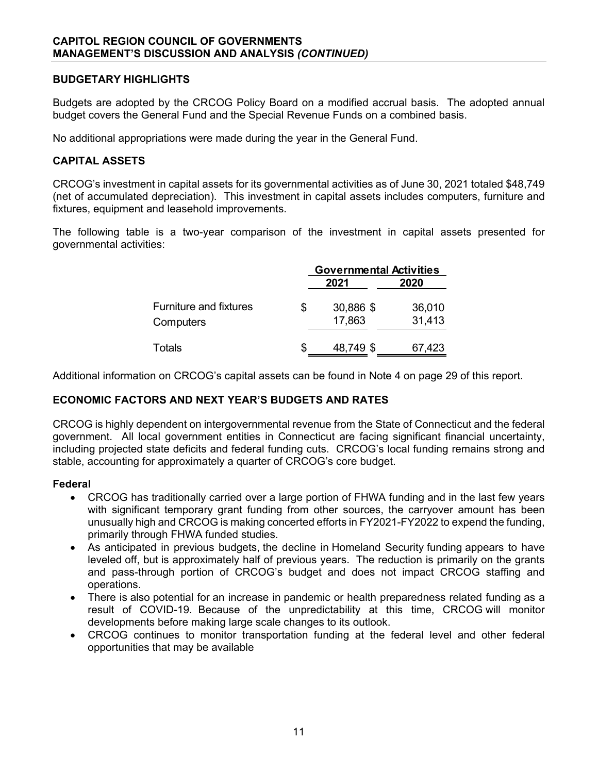## **BUDGETARY HIGHLIGHTS**

Budgets are adopted by the CRCOG Policy Board on a modified accrual basis. The adopted annual budget covers the General Fund and the Special Revenue Funds on a combined basis.

No additional appropriations were made during the year in the General Fund.

## **CAPITAL ASSETS**

CRCOG's investment in capital assets for its governmental activities as of June 30, 2021 totaled \$48,749 (net of accumulated depreciation). This investment in capital assets includes computers, furniture and fixtures, equipment and leasehold improvements.

The following table is a two-year comparison of the investment in capital assets presented for governmental activities:

|                                            |   | <b>Governmental Activities</b> |                  |  |  |  |  |
|--------------------------------------------|---|--------------------------------|------------------|--|--|--|--|
|                                            |   | 2021                           | 2020             |  |  |  |  |
| <b>Furniture and fixtures</b><br>Computers | S | 30,886 \$<br>17,863            | 36,010<br>31,413 |  |  |  |  |
| Totals                                     |   | 48,749 \$                      | 67,423           |  |  |  |  |

Additional information on CRCOG's capital assets can be found in Note 4 on page 29 of this report.

# **ECONOMIC FACTORS AND NEXT YEAR'S BUDGETS AND RATES**

CRCOG is highly dependent on intergovernmental revenue from the State of Connecticut and the federal government. All local government entities in Connecticut are facing significant financial uncertainty, including projected state deficits and federal funding cuts. CRCOG's local funding remains strong and stable, accounting for approximately a quarter of CRCOG's core budget.

#### **Federal**

- CRCOG has traditionally carried over a large portion of FHWA funding and in the last few years with significant temporary grant funding from other sources, the carryover amount has been unusually high and CRCOG is making concerted efforts in FY2021-FY2022 to expend the funding, primarily through FHWA funded studies.
- As anticipated in previous budgets, the decline in Homeland Security funding appears to have leveled off, but is approximately half of previous years. The reduction is primarily on the grants and pass-through portion of CRCOG's budget and does not impact CRCOG staffing and operations.
- There is also potential for an increase in pandemic or health preparedness related funding as a result of COVID-19. Because of the unpredictability at this time, CRCOG will monitor developments before making large scale changes to its outlook.
- CRCOG continues to monitor transportation funding at the federal level and other federal opportunities that may be available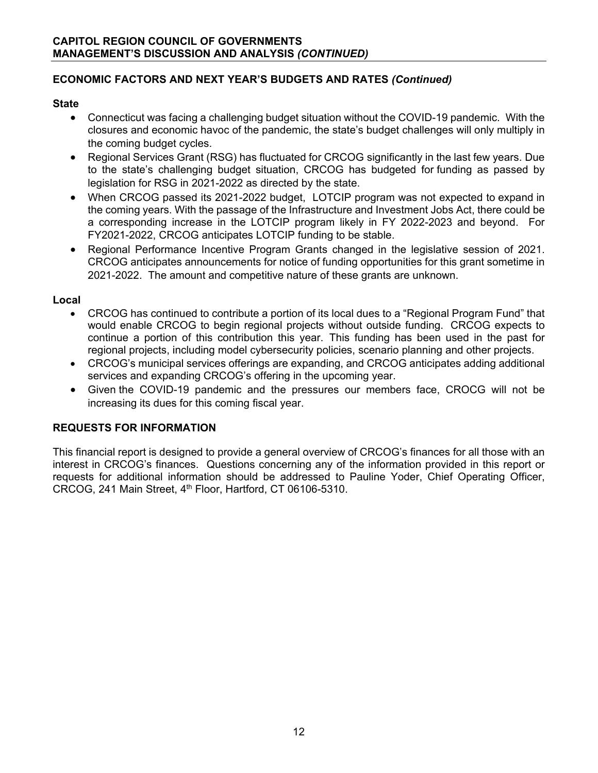# **ECONOMIC FACTORS AND NEXT YEAR'S BUDGETS AND RATES** *(Continued)*

# **State**

- Connecticut was facing a challenging budget situation without the COVID-19 pandemic. With the closures and economic havoc of the pandemic, the state's budget challenges will only multiply in the coming budget cycles.
- Regional Services Grant (RSG) has fluctuated for CRCOG significantly in the last few years. Due to the state's challenging budget situation, CRCOG has budgeted for funding as passed by legislation for RSG in 2021-2022 as directed by the state.
- When CRCOG passed its 2021-2022 budget, LOTCIP program was not expected to expand in the coming years. With the passage of the Infrastructure and Investment Jobs Act, there could be a corresponding increase in the LOTCIP program likely in FY 2022-2023 and beyond. For FY2021-2022, CRCOG anticipates LOTCIP funding to be stable.
- Regional Performance Incentive Program Grants changed in the legislative session of 2021. CRCOG anticipates announcements for notice of funding opportunities for this grant sometime in 2021-2022. The amount and competitive nature of these grants are unknown.

# **Local**

- CRCOG has continued to contribute a portion of its local dues to a "Regional Program Fund" that would enable CRCOG to begin regional projects without outside funding. CRCOG expects to continue a portion of this contribution this year. This funding has been used in the past for regional projects, including model cybersecurity policies, scenario planning and other projects.
- CRCOG's municipal services offerings are expanding, and CRCOG anticipates adding additional services and expanding CRCOG's offering in the upcoming year.
- Given the COVID-19 pandemic and the pressures our members face, CROCG will not be increasing its dues for this coming fiscal year.

# **REQUESTS FOR INFORMATION**

This financial report is designed to provide a general overview of CRCOG's finances for all those with an interest in CRCOG's finances. Questions concerning any of the information provided in this report or requests for additional information should be addressed to Pauline Yoder, Chief Operating Officer, CRCOG, 241 Main Street, 4th Floor, Hartford, CT 06106-5310.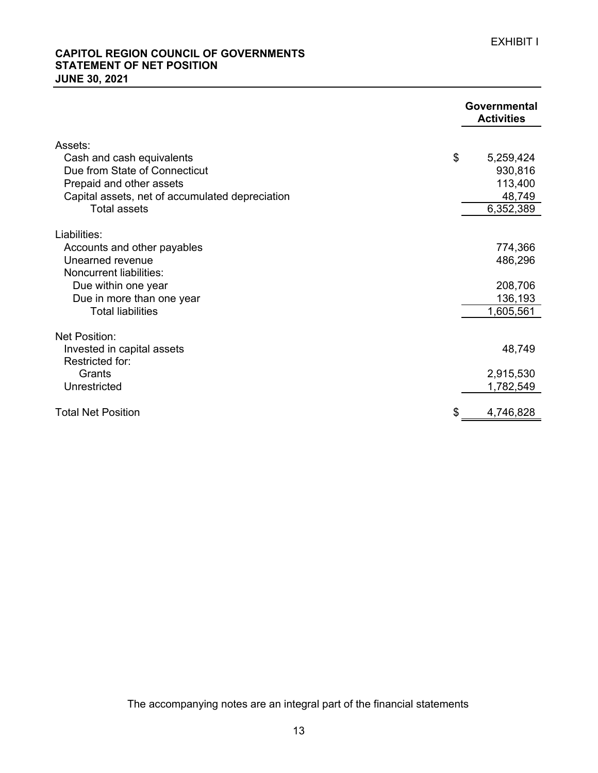## **STATEMENT OF NET POSITION JUNE 30, 2021 CAPITOL REGION COUNCIL OF GOVERNMENTS**

|                                                       | <b>Governmental</b><br><b>Activities</b> |
|-------------------------------------------------------|------------------------------------------|
| Assets:                                               |                                          |
| Cash and cash equivalents                             | \$<br>5,259,424                          |
| Due from State of Connecticut                         | 930,816                                  |
| Prepaid and other assets                              | 113,400                                  |
| Capital assets, net of accumulated depreciation       | 48,749                                   |
| <b>Total assets</b>                                   | 6,352,389                                |
|                                                       |                                          |
| Liabilities:                                          |                                          |
| Accounts and other payables                           | 774,366                                  |
| Unearned revenue<br>Noncurrent liabilities:           | 486,296                                  |
|                                                       |                                          |
| Due within one year                                   | 208,706<br>136,193                       |
| Due in more than one year<br><b>Total liabilities</b> | 1,605,561                                |
|                                                       |                                          |
| Net Position:                                         |                                          |
| Invested in capital assets                            | 48,749                                   |
| Restricted for:                                       |                                          |
| Grants                                                | 2,915,530                                |
| Unrestricted                                          | 1,782,549                                |
| <b>Total Net Position</b>                             | 4,746,828                                |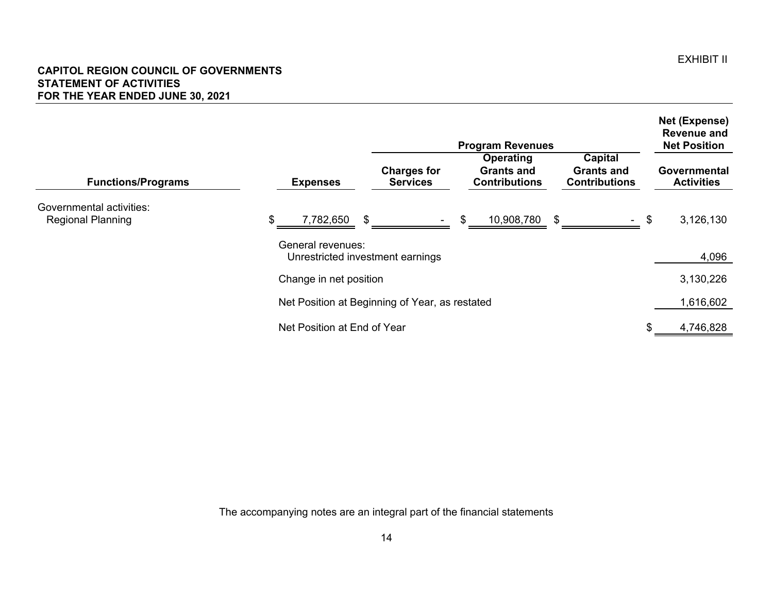#### **CAPITOL REGION COUNCIL OF GOVERNMENTS STATEMENT OF ACTIVITIES FOR THE YEAR ENDED JUNE 30, 2021**

|                                                      | <b>Program Revenues</b>                                                                                                                                                           | Net (Expense)<br><b>Revenue and</b><br><b>Net Position</b> |
|------------------------------------------------------|-----------------------------------------------------------------------------------------------------------------------------------------------------------------------------------|------------------------------------------------------------|
| <b>Functions/Programs</b>                            | <b>Capital</b><br>Operating<br><b>Charges for</b><br><b>Grants and</b><br><b>Grants and</b><br><b>Services</b><br><b>Contributions</b><br><b>Contributions</b><br><b>Expenses</b> | Governmental<br><b>Activities</b>                          |
| Governmental activities:<br><b>Regional Planning</b> | 7,782,650<br>\$<br>\$<br>10,908,780<br>\$                                                                                                                                         | \$<br>3,126,130                                            |
|                                                      | General revenues:<br>Unrestricted investment earnings                                                                                                                             | 4,096                                                      |
|                                                      | Change in net position                                                                                                                                                            | 3,130,226                                                  |
|                                                      | Net Position at Beginning of Year, as restated                                                                                                                                    | 1,616,602                                                  |
|                                                      | Net Position at End of Year                                                                                                                                                       | 4,746,828                                                  |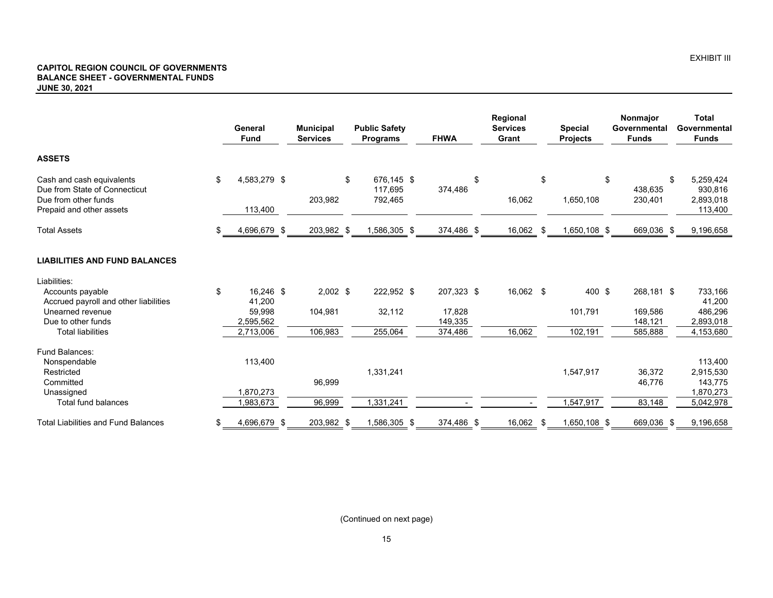#### **CAPITOL REGION COUNCIL OF GOVERNMENTS BALANCE SHEET - GOVERNMENTAL FUNDS JUNE 30, 2021**

|                                                                                                                | General<br><b>Fund</b>        | <b>Municipal</b><br><b>Services</b> | <b>Public Safety</b><br><b>Programs</b> |  | <b>FHWA</b>       |    |           |     |              |    | Regional<br><b>Services</b><br>Grant | <b>Special</b><br>Projects                         |  | Nonmajor<br>Governmental<br><b>Funds</b> |  | <b>Total</b><br>Governmental<br><b>Funds</b> |
|----------------------------------------------------------------------------------------------------------------|-------------------------------|-------------------------------------|-----------------------------------------|--|-------------------|----|-----------|-----|--------------|----|--------------------------------------|----------------------------------------------------|--|------------------------------------------|--|----------------------------------------------|
| <b>ASSETS</b>                                                                                                  |                               |                                     |                                         |  |                   |    |           |     |              |    |                                      |                                                    |  |                                          |  |                                              |
| Cash and cash equivalents<br>Due from State of Connecticut<br>Due from other funds<br>Prepaid and other assets | \$<br>4,583,279 \$<br>113,400 | 203,982                             | \$<br>676,145 \$<br>117,695<br>792,465  |  | 374,486           | \$ | 16,062    | \$  | 1,650,108    | \$ | 438,635<br>230,401                   | 5,259,424<br>\$<br>930,816<br>2,893,018<br>113,400 |  |                                          |  |                                              |
| <b>Total Assets</b>                                                                                            | 4,696,679 \$                  | 203,982 \$                          | 1,586,305 \$                            |  | 374,486 \$        |    | 16,062    | -\$ | 1,650,108 \$ |    | 669,036 \$                           | 9,196,658                                          |  |                                          |  |                                              |
| <b>LIABILITIES AND FUND BALANCES</b>                                                                           |                               |                                     |                                         |  |                   |    |           |     |              |    |                                      |                                                    |  |                                          |  |                                              |
| Liabilities:                                                                                                   |                               |                                     |                                         |  |                   |    |           |     |              |    |                                      |                                                    |  |                                          |  |                                              |
| Accounts payable<br>Accrued payroll and other liabilities                                                      | \$<br>16,246 \$<br>41,200     | $2,002$ \$                          | 222,952 \$                              |  | 207,323 \$        |    | 16,062 \$ |     | 400 \$       |    | 268,181 \$                           | 733,166<br>41,200                                  |  |                                          |  |                                              |
| Unearned revenue<br>Due to other funds                                                                         | 59,998<br>2,595,562           | 104,981                             | 32,112                                  |  | 17,828<br>149,335 |    |           |     | 101,791      |    | 169.586<br>148,121                   | 486,296<br>2,893,018                               |  |                                          |  |                                              |
| <b>Total liabilities</b>                                                                                       | 2,713,006                     | 106,983                             | 255,064                                 |  | 374,486           |    | 16,062    |     | 102,191      |    | 585,888                              | 4,153,680                                          |  |                                          |  |                                              |
| Fund Balances:<br>Nonspendable                                                                                 | 113,400                       |                                     |                                         |  |                   |    |           |     |              |    |                                      | 113,400                                            |  |                                          |  |                                              |
| Restricted<br>Committed<br>Unassigned                                                                          | 1,870,273                     | 96,999                              | 1,331,241                               |  |                   |    |           |     | 1,547,917    |    | 36,372<br>46,776                     | 2,915,530<br>143,775<br>1,870,273                  |  |                                          |  |                                              |
| <b>Total fund balances</b>                                                                                     | 1,983,673                     | 96,999                              | 1,331,241                               |  |                   |    |           |     | 1,547,917    |    | 83,148                               | 5,042,978                                          |  |                                          |  |                                              |
| <b>Total Liabilities and Fund Balances</b>                                                                     | \$<br>4,696,679 \$            | 203,982 \$                          | 1,586,305 \$                            |  | 374,486 \$        |    | 16,062    | -\$ | 1,650,108 \$ |    | 669,036 \$                           | 9,196,658                                          |  |                                          |  |                                              |

(Continued on next page)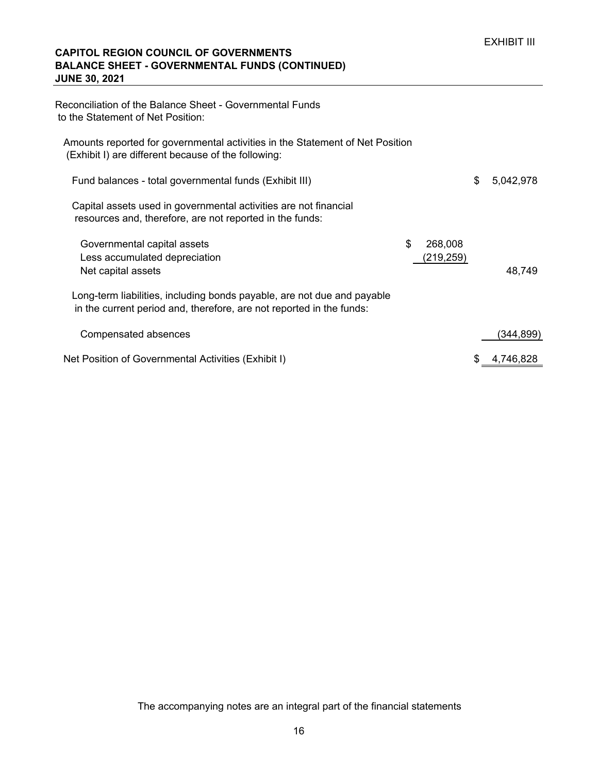## **CAPITOL REGION COUNCIL OF GOVERNMENTS BALANCE SHEET - GOVERNMENTAL FUNDS (CONTINUED) JUNE 30, 2021**

| Reconciliation of the Balance Sheet - Governmental Funds<br>to the Statement of Net Position:                                                   |                            |                 |
|-------------------------------------------------------------------------------------------------------------------------------------------------|----------------------------|-----------------|
| Amounts reported for governmental activities in the Statement of Net Position<br>(Exhibit I) are different because of the following:            |                            |                 |
| Fund balances - total governmental funds (Exhibit III)                                                                                          |                            | \$<br>5,042,978 |
| Capital assets used in governmental activities are not financial<br>resources and, therefore, are not reported in the funds:                    |                            |                 |
| Governmental capital assets<br>Less accumulated depreciation<br>Net capital assets                                                              | \$<br>268,008<br>(219,259) | 48,749          |
| Long-term liabilities, including bonds payable, are not due and payable<br>in the current period and, therefore, are not reported in the funds: |                            |                 |
| Compensated absences                                                                                                                            |                            | (344,899)       |
| Net Position of Governmental Activities (Exhibit I)                                                                                             |                            | 4,746,828       |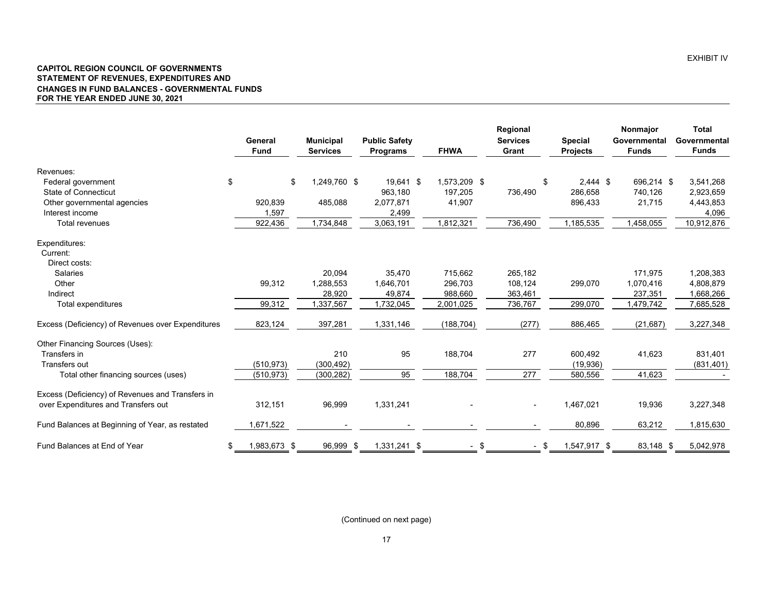#### **CAPITOL REGION COUNCIL OF GOVERNMENTS STATEMENT OF REVENUES, EXPENDITURES AND CHANGES IN FUND BALANCES - GOVERNMENTAL FUNDS FOR THE YEAR ENDED JUNE 30, 2021**

|                                                   | General<br><b>Fund</b> | <b>Municipal</b><br><b>Services</b> | <b>Public Safety</b><br><b>Programs</b> | <b>FHWA</b>  | Regional<br><b>Services</b><br>Grant | <b>Special</b><br><b>Projects</b> | Nonmajor<br>Governmental<br><b>Funds</b> | <b>Total</b><br>Governmental<br><b>Funds</b> |
|---------------------------------------------------|------------------------|-------------------------------------|-----------------------------------------|--------------|--------------------------------------|-----------------------------------|------------------------------------------|----------------------------------------------|
| Revenues:                                         |                        |                                     |                                         |              |                                      |                                   |                                          |                                              |
| Federal government                                | \$                     | 1,249,760 \$<br>\$                  | 19,641 \$                               | 1,573,209 \$ | \$                                   | $2,444$ \$                        | 696,214 \$                               | 3,541,268                                    |
| <b>State of Connecticut</b>                       |                        |                                     | 963.180                                 | 197,205      | 736,490                              | 286,658                           | 740,126                                  | 2,923,659                                    |
| Other governmental agencies                       | 920,839                | 485,088                             | 2,077,871                               | 41,907       |                                      | 896,433                           | 21,715                                   | 4,443,853                                    |
| Interest income                                   | 1,597                  |                                     | 2,499                                   |              |                                      |                                   |                                          | 4,096                                        |
| Total revenues                                    | 922,436                | 1,734,848                           | 3,063,191                               | 1,812,321    | 736,490                              | 1,185,535                         | 1,458,055                                | 10,912,876                                   |
| Expenditures:                                     |                        |                                     |                                         |              |                                      |                                   |                                          |                                              |
| Current:                                          |                        |                                     |                                         |              |                                      |                                   |                                          |                                              |
| Direct costs:                                     |                        |                                     |                                         |              |                                      |                                   |                                          |                                              |
| <b>Salaries</b>                                   |                        | 20,094                              | 35,470                                  | 715,662      | 265,182                              |                                   | 171.975                                  | 1,208,383                                    |
| Other                                             | 99,312                 | 1,288,553                           | 1,646,701                               | 296,703      | 108.124                              | 299,070                           | 1,070,416                                | 4,808,879                                    |
| Indirect                                          |                        | 28,920                              | 49,874                                  | 988,660      | 363,461                              |                                   | 237,351                                  | 1,668,266                                    |
| Total expenditures                                | 99,312                 | 1,337,567                           | 1,732,045                               | 2,001,025    | 736,767                              | 299,070                           | 1,479,742                                | 7,685,528                                    |
| Excess (Deficiency) of Revenues over Expenditures | 823,124                | 397,281                             | 1,331,146                               | (188, 704)   | (277)                                | 886,465                           | (21, 687)                                | 3,227,348                                    |
| Other Financing Sources (Uses):                   |                        |                                     |                                         |              |                                      |                                   |                                          |                                              |
| Transfers in                                      |                        | 210                                 | 95                                      | 188,704      | 277                                  | 600,492                           | 41,623                                   | 831,401                                      |
| Transfers out                                     | (510, 973)             | (300, 492)                          |                                         |              |                                      | (19, 936)                         |                                          | (831, 401)                                   |
| Total other financing sources (uses)              | (510, 973)             | (300, 282)                          | 95                                      | 188,704      | 277                                  | 580,556                           | 41,623                                   |                                              |
| Excess (Deficiency) of Revenues and Transfers in  |                        |                                     |                                         |              |                                      |                                   |                                          |                                              |
| over Expenditures and Transfers out               | 312,151                | 96,999                              | 1,331,241                               |              |                                      | 1,467,021                         | 19,936                                   | 3,227,348                                    |
| Fund Balances at Beginning of Year, as restated   | 1,671,522              |                                     |                                         |              |                                      | 80,896                            | 63,212                                   | 1,815,630                                    |
| Fund Balances at End of Year                      | 1,983,673 \$<br>\$     | 96,999 \$                           | 1,331,241 \$                            | $-$ \$       | - \$                                 | 1,547,917 \$                      | 83,148 \$                                | 5,042,978                                    |

(Continued on next page)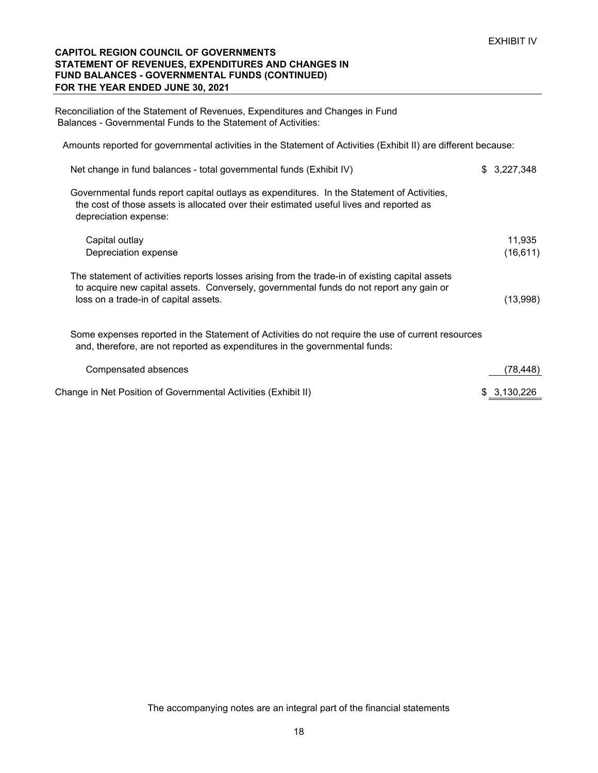#### **CAPITOL REGION COUNCIL OF GOVERNMENTS STATEMENT OF REVENUES, EXPENDITURES AND CHANGES IN FUND BALANCES - GOVERNMENTAL FUNDS (CONTINUED) FOR THE YEAR ENDED JUNE 30, 2021**

Reconciliation of the Statement of Revenues, Expenditures and Changes in Fund Balances - Governmental Funds to the Statement of Activities:

Amounts reported for governmental activities in the Statement of Activities (Exhibit II) are different because:

| Net change in fund balances - total governmental funds (Exhibit IV)                                                                                                                                                                 | \$3.227.348 |
|-------------------------------------------------------------------------------------------------------------------------------------------------------------------------------------------------------------------------------------|-------------|
| Governmental funds report capital outlays as expenditures. In the Statement of Activities,<br>the cost of those assets is allocated over their estimated useful lives and reported as<br>depreciation expense:                      |             |
| Capital outlay                                                                                                                                                                                                                      | 11,935      |
| Depreciation expense                                                                                                                                                                                                                | (16, 611)   |
| The statement of activities reports losses arising from the trade-in of existing capital assets<br>to acquire new capital assets. Conversely, governmental funds do not report any gain or<br>loss on a trade-in of capital assets. | (13,998)    |
| Some expenses reported in the Statement of Activities do not require the use of current resources<br>and, therefore, are not reported as expenditures in the governmental funds:                                                    |             |
| Compensated absences                                                                                                                                                                                                                | (78,448)    |
| Change in Net Position of Governmental Activities (Exhibit II)                                                                                                                                                                      | 3,130,226   |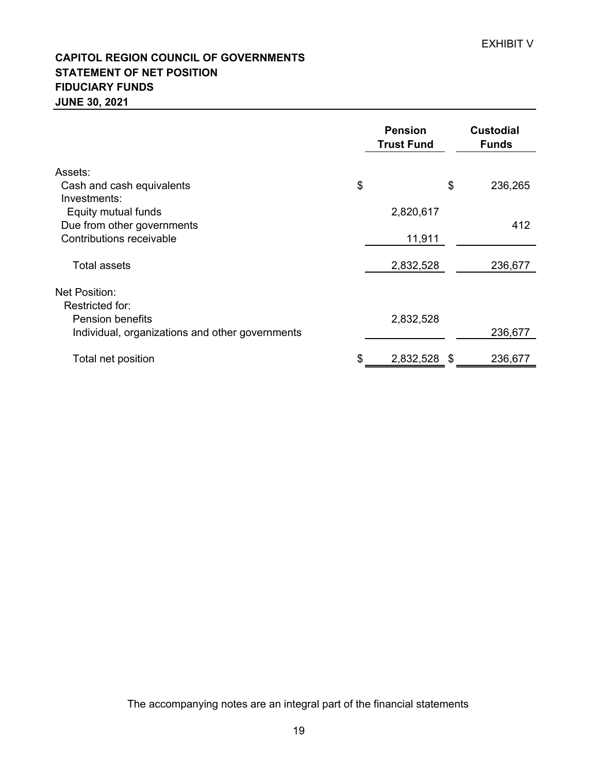# **CAPITOL REGION COUNCIL OF GOVERNMENTS STATEMENT OF NET POSITION FIDUCIARY FUNDS JUNE 30, 2021**

|                                                 | <b>Pension</b><br><b>Trust Fund</b> |    | <b>Custodial</b><br><b>Funds</b> |
|-------------------------------------------------|-------------------------------------|----|----------------------------------|
| Assets:                                         |                                     |    |                                  |
| Cash and cash equivalents                       | \$                                  | \$ | 236,265                          |
| Investments:                                    |                                     |    |                                  |
| Equity mutual funds                             | 2,820,617                           |    |                                  |
| Due from other governments                      |                                     |    | 412                              |
| Contributions receivable                        | 11,911                              |    |                                  |
| Total assets                                    | 2,832,528                           |    | 236,677                          |
| Net Position:                                   |                                     |    |                                  |
| Restricted for:                                 |                                     |    |                                  |
| <b>Pension benefits</b>                         | 2,832,528                           |    |                                  |
| Individual, organizations and other governments |                                     |    | 236,677                          |
| Total net position                              | 2,832,528                           | S  | 236,677                          |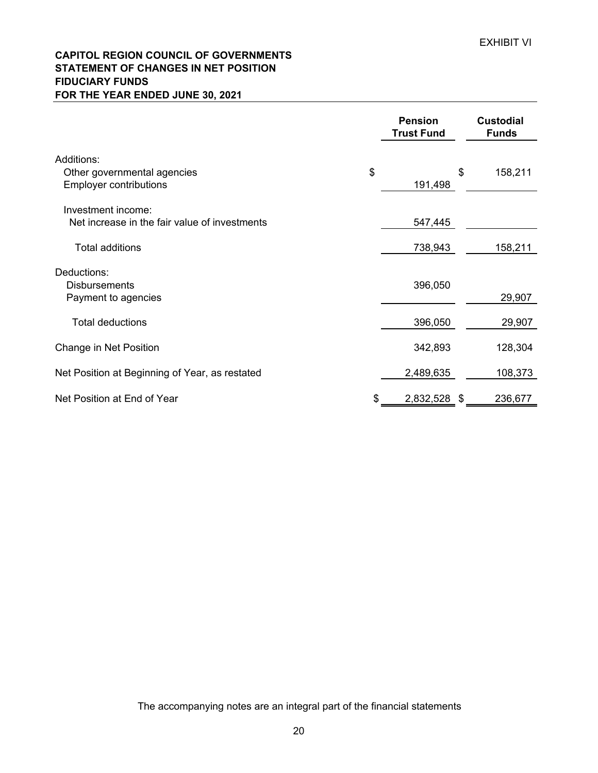# **CAPITOL REGION COUNCIL OF GOVERNMENTS STATEMENT OF CHANGES IN NET POSITION FIDUCIARY FUNDS FOR THE YEAR ENDED JUNE 30, 2021**

|                                                              |    | <b>Pension</b><br><b>Trust Fund</b> |    | <b>Custodial</b><br><b>Funds</b> |
|--------------------------------------------------------------|----|-------------------------------------|----|----------------------------------|
| Additions:                                                   |    |                                     |    |                                  |
| Other governmental agencies<br><b>Employer contributions</b> | \$ | 191,498                             | \$ | 158,211                          |
| Investment income:                                           |    |                                     |    |                                  |
| Net increase in the fair value of investments                |    | 547,445                             |    |                                  |
| <b>Total additions</b>                                       |    | 738,943                             |    | 158,211                          |
| Deductions:                                                  |    |                                     |    |                                  |
| <b>Disbursements</b>                                         |    | 396,050                             |    |                                  |
| Payment to agencies                                          |    |                                     |    | 29,907                           |
| <b>Total deductions</b>                                      |    | 396,050                             |    | 29,907                           |
| Change in Net Position                                       |    | 342,893                             |    | 128,304                          |
| Net Position at Beginning of Year, as restated               |    | 2,489,635                           |    | 108,373                          |
| Net Position at End of Year                                  | S  | 2,832,528                           | -S | 236,677                          |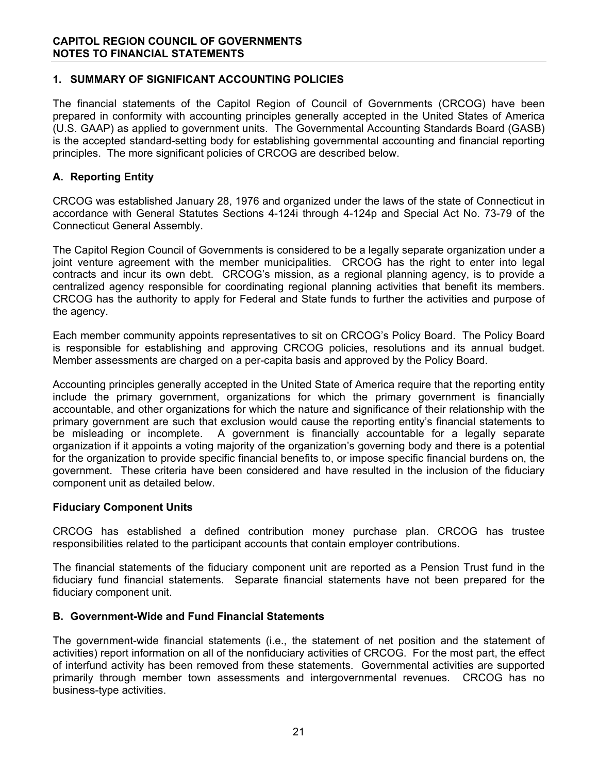# **1. SUMMARY OF SIGNIFICANT ACCOUNTING POLICIES**

The financial statements of the Capitol Region of Council of Governments (CRCOG) have been prepared in conformity with accounting principles generally accepted in the United States of America (U.S. GAAP) as applied to government units. The Governmental Accounting Standards Board (GASB) is the accepted standard-setting body for establishing governmental accounting and financial reporting principles. The more significant policies of CRCOG are described below.

# **A. Reporting Entity**

CRCOG was established January 28, 1976 and organized under the laws of the state of Connecticut in accordance with General Statutes Sections 4-124i through 4-124p and Special Act No. 73-79 of the Connecticut General Assembly.

The Capitol Region Council of Governments is considered to be a legally separate organization under a joint venture agreement with the member municipalities. CRCOG has the right to enter into legal contracts and incur its own debt. CRCOG's mission, as a regional planning agency, is to provide a centralized agency responsible for coordinating regional planning activities that benefit its members. CRCOG has the authority to apply for Federal and State funds to further the activities and purpose of the agency.

Each member community appoints representatives to sit on CRCOG's Policy Board. The Policy Board is responsible for establishing and approving CRCOG policies, resolutions and its annual budget. Member assessments are charged on a per-capita basis and approved by the Policy Board.

Accounting principles generally accepted in the United State of America require that the reporting entity include the primary government, organizations for which the primary government is financially accountable, and other organizations for which the nature and significance of their relationship with the primary government are such that exclusion would cause the reporting entity's financial statements to be misleading or incomplete. A government is financially accountable for a legally separate organization if it appoints a voting majority of the organization's governing body and there is a potential for the organization to provide specific financial benefits to, or impose specific financial burdens on, the government. These criteria have been considered and have resulted in the inclusion of the fiduciary component unit as detailed below.

## **Fiduciary Component Units**

CRCOG has established a defined contribution money purchase plan. CRCOG has trustee responsibilities related to the participant accounts that contain employer contributions.

The financial statements of the fiduciary component unit are reported as a Pension Trust fund in the fiduciary fund financial statements. Separate financial statements have not been prepared for the fiduciary component unit.

## **B. Government-Wide and Fund Financial Statements**

The government-wide financial statements (i.e., the statement of net position and the statement of activities) report information on all of the nonfiduciary activities of CRCOG. For the most part, the effect of interfund activity has been removed from these statements. Governmental activities are supported primarily through member town assessments and intergovernmental revenues. CRCOG has no business-type activities.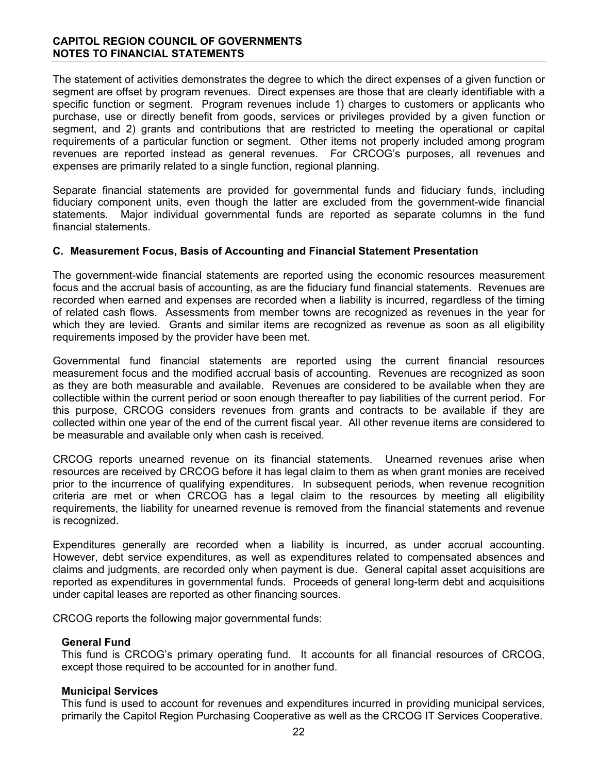## **CAPITOL REGION COUNCIL OF GOVERNMENTS NOTES TO FINANCIAL STATEMENTS**

The statement of activities demonstrates the degree to which the direct expenses of a given function or segment are offset by program revenues. Direct expenses are those that are clearly identifiable with a specific function or segment. Program revenues include 1) charges to customers or applicants who purchase, use or directly benefit from goods, services or privileges provided by a given function or segment, and 2) grants and contributions that are restricted to meeting the operational or capital requirements of a particular function or segment. Other items not properly included among program revenues are reported instead as general revenues. For CRCOG's purposes, all revenues and expenses are primarily related to a single function, regional planning.

Separate financial statements are provided for governmental funds and fiduciary funds, including fiduciary component units, even though the latter are excluded from the government-wide financial statements. Major individual governmental funds are reported as separate columns in the fund financial statements.

#### **C. Measurement Focus, Basis of Accounting and Financial Statement Presentation**

The government-wide financial statements are reported using the economic resources measurement focus and the accrual basis of accounting, as are the fiduciary fund financial statements. Revenues are recorded when earned and expenses are recorded when a liability is incurred, regardless of the timing of related cash flows. Assessments from member towns are recognized as revenues in the year for which they are levied. Grants and similar items are recognized as revenue as soon as all eligibility requirements imposed by the provider have been met.

Governmental fund financial statements are reported using the current financial resources measurement focus and the modified accrual basis of accounting. Revenues are recognized as soon as they are both measurable and available. Revenues are considered to be available when they are collectible within the current period or soon enough thereafter to pay liabilities of the current period. For this purpose, CRCOG considers revenues from grants and contracts to be available if they are collected within one year of the end of the current fiscal year. All other revenue items are considered to be measurable and available only when cash is received.

CRCOG reports unearned revenue on its financial statements. Unearned revenues arise when resources are received by CRCOG before it has legal claim to them as when grant monies are received prior to the incurrence of qualifying expenditures. In subsequent periods, when revenue recognition criteria are met or when CRCOG has a legal claim to the resources by meeting all eligibility requirements, the liability for unearned revenue is removed from the financial statements and revenue is recognized.

Expenditures generally are recorded when a liability is incurred, as under accrual accounting. However, debt service expenditures, as well as expenditures related to compensated absences and claims and judgments, are recorded only when payment is due. General capital asset acquisitions are reported as expenditures in governmental funds. Proceeds of general long-term debt and acquisitions under capital leases are reported as other financing sources.

CRCOG reports the following major governmental funds:

#### **General Fund**

This fund is CRCOG's primary operating fund. It accounts for all financial resources of CRCOG, except those required to be accounted for in another fund.

#### **Municipal Services**

This fund is used to account for revenues and expenditures incurred in providing municipal services, primarily the Capitol Region Purchasing Cooperative as well as the CRCOG IT Services Cooperative.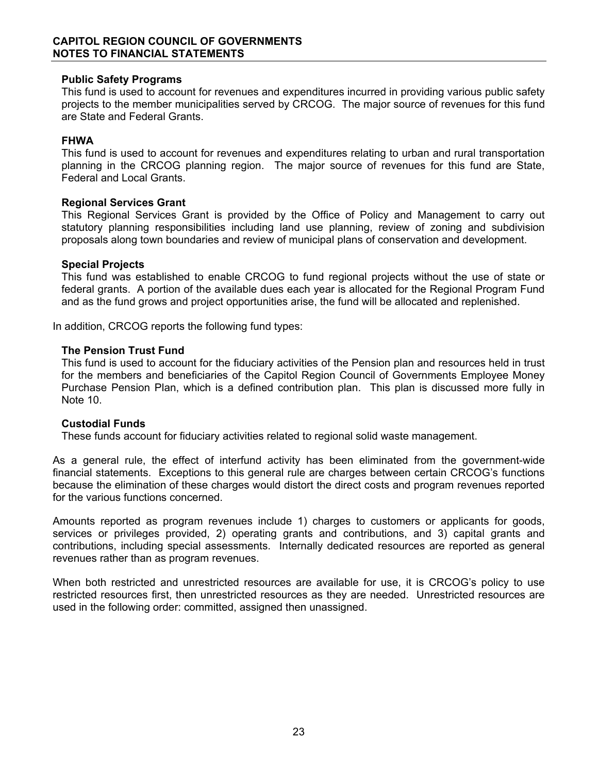#### **Public Safety Programs**

This fund is used to account for revenues and expenditures incurred in providing various public safety projects to the member municipalities served by CRCOG. The major source of revenues for this fund are State and Federal Grants.

## **FHWA**

This fund is used to account for revenues and expenditures relating to urban and rural transportation planning in the CRCOG planning region. The major source of revenues for this fund are State, Federal and Local Grants.

#### **Regional Services Grant**

This Regional Services Grant is provided by the Office of Policy and Management to carry out statutory planning responsibilities including land use planning, review of zoning and subdivision proposals along town boundaries and review of municipal plans of conservation and development.

#### **Special Projects**

This fund was established to enable CRCOG to fund regional projects without the use of state or federal grants. A portion of the available dues each year is allocated for the Regional Program Fund and as the fund grows and project opportunities arise, the fund will be allocated and replenished.

In addition, CRCOG reports the following fund types:

#### **The Pension Trust Fund**

This fund is used to account for the fiduciary activities of the Pension plan and resources held in trust for the members and beneficiaries of the Capitol Region Council of Governments Employee Money Purchase Pension Plan, which is a defined contribution plan. This plan is discussed more fully in Note 10.

## **Custodial Funds**

These funds account for fiduciary activities related to regional solid waste management.

As a general rule, the effect of interfund activity has been eliminated from the government-wide financial statements. Exceptions to this general rule are charges between certain CRCOG's functions because the elimination of these charges would distort the direct costs and program revenues reported for the various functions concerned.

Amounts reported as program revenues include 1) charges to customers or applicants for goods, services or privileges provided, 2) operating grants and contributions, and 3) capital grants and contributions, including special assessments. Internally dedicated resources are reported as general revenues rather than as program revenues.

When both restricted and unrestricted resources are available for use, it is CRCOG's policy to use restricted resources first, then unrestricted resources as they are needed. Unrestricted resources are used in the following order: committed, assigned then unassigned.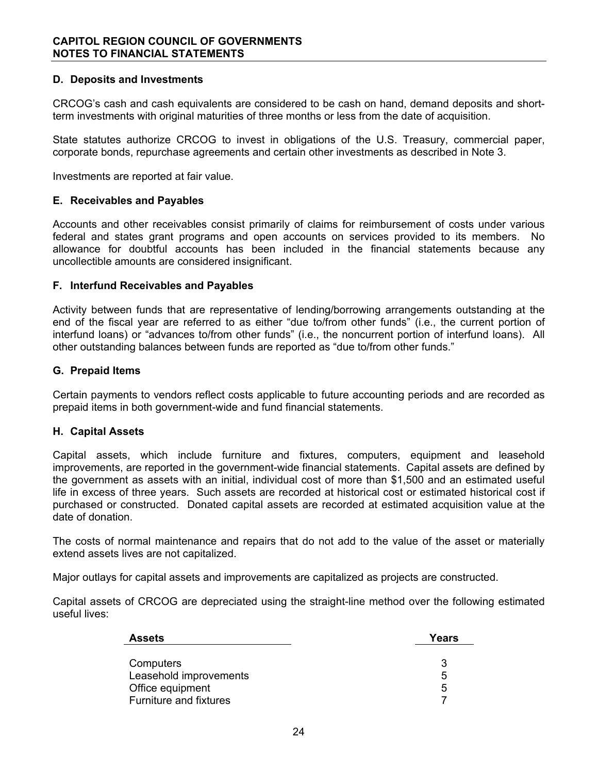## **D. Deposits and Investments**

CRCOG's cash and cash equivalents are considered to be cash on hand, demand deposits and shortterm investments with original maturities of three months or less from the date of acquisition.

State statutes authorize CRCOG to invest in obligations of the U.S. Treasury, commercial paper, corporate bonds, repurchase agreements and certain other investments as described in Note 3.

Investments are reported at fair value.

#### **E. Receivables and Payables**

Accounts and other receivables consist primarily of claims for reimbursement of costs under various federal and states grant programs and open accounts on services provided to its members. No allowance for doubtful accounts has been included in the financial statements because any uncollectible amounts are considered insignificant.

#### **F. Interfund Receivables and Payables**

Activity between funds that are representative of lending/borrowing arrangements outstanding at the end of the fiscal year are referred to as either "due to/from other funds" (i.e., the current portion of interfund loans) or "advances to/from other funds" (i.e., the noncurrent portion of interfund loans). All other outstanding balances between funds are reported as "due to/from other funds."

#### **G. Prepaid Items**

Certain payments to vendors reflect costs applicable to future accounting periods and are recorded as prepaid items in both government-wide and fund financial statements.

#### **H. Capital Assets**

Capital assets, which include furniture and fixtures, computers, equipment and leasehold improvements, are reported in the government-wide financial statements. Capital assets are defined by the government as assets with an initial, individual cost of more than \$1,500 and an estimated useful life in excess of three years. Such assets are recorded at historical cost or estimated historical cost if purchased or constructed. Donated capital assets are recorded at estimated acquisition value at the date of donation.

The costs of normal maintenance and repairs that do not add to the value of the asset or materially extend assets lives are not capitalized.

Major outlays for capital assets and improvements are capitalized as projects are constructed.

Capital assets of CRCOG are depreciated using the straight-line method over the following estimated useful lives:

| <b>Assets</b>          | Years |
|------------------------|-------|
|                        |       |
| Computers              |       |
| Leasehold improvements | 5     |
| Office equipment       | 5     |
| Furniture and fixtures |       |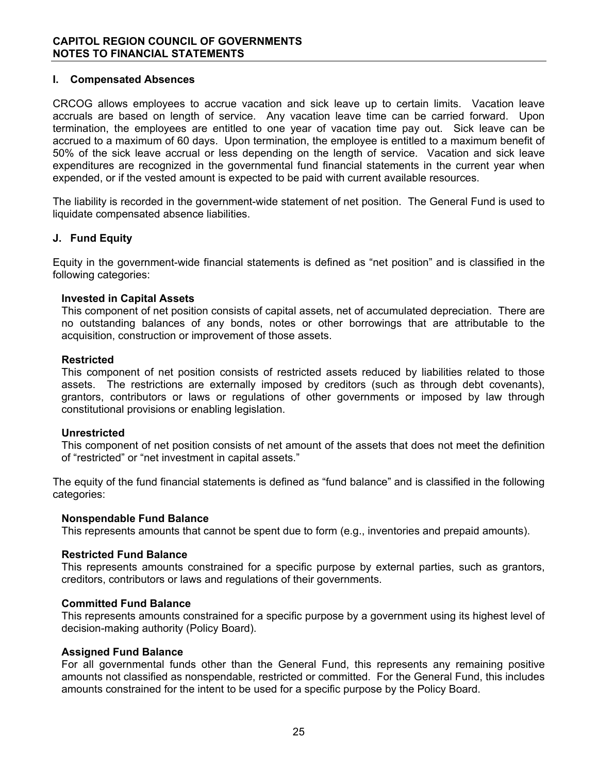## **I. Compensated Absences**

CRCOG allows employees to accrue vacation and sick leave up to certain limits. Vacation leave accruals are based on length of service. Any vacation leave time can be carried forward. Upon termination, the employees are entitled to one year of vacation time pay out. Sick leave can be accrued to a maximum of 60 days. Upon termination, the employee is entitled to a maximum benefit of 50% of the sick leave accrual or less depending on the length of service. Vacation and sick leave expenditures are recognized in the governmental fund financial statements in the current year when expended, or if the vested amount is expected to be paid with current available resources.

The liability is recorded in the government-wide statement of net position. The General Fund is used to liquidate compensated absence liabilities.

#### **J. Fund Equity**

Equity in the government-wide financial statements is defined as "net position" and is classified in the following categories:

#### **Invested in Capital Assets**

This component of net position consists of capital assets, net of accumulated depreciation. There are no outstanding balances of any bonds, notes or other borrowings that are attributable to the acquisition, construction or improvement of those assets.

#### **Restricted**

This component of net position consists of restricted assets reduced by liabilities related to those assets. The restrictions are externally imposed by creditors (such as through debt covenants), grantors, contributors or laws or regulations of other governments or imposed by law through constitutional provisions or enabling legislation.

#### **Unrestricted**

This component of net position consists of net amount of the assets that does not meet the definition of "restricted" or "net investment in capital assets."

The equity of the fund financial statements is defined as "fund balance" and is classified in the following categories:

#### **Nonspendable Fund Balance**

This represents amounts that cannot be spent due to form (e.g., inventories and prepaid amounts).

## **Restricted Fund Balance**

This represents amounts constrained for a specific purpose by external parties, such as grantors, creditors, contributors or laws and regulations of their governments.

#### **Committed Fund Balance**

This represents amounts constrained for a specific purpose by a government using its highest level of decision-making authority (Policy Board).

#### **Assigned Fund Balance**

For all governmental funds other than the General Fund, this represents any remaining positive amounts not classified as nonspendable, restricted or committed. For the General Fund, this includes amounts constrained for the intent to be used for a specific purpose by the Policy Board.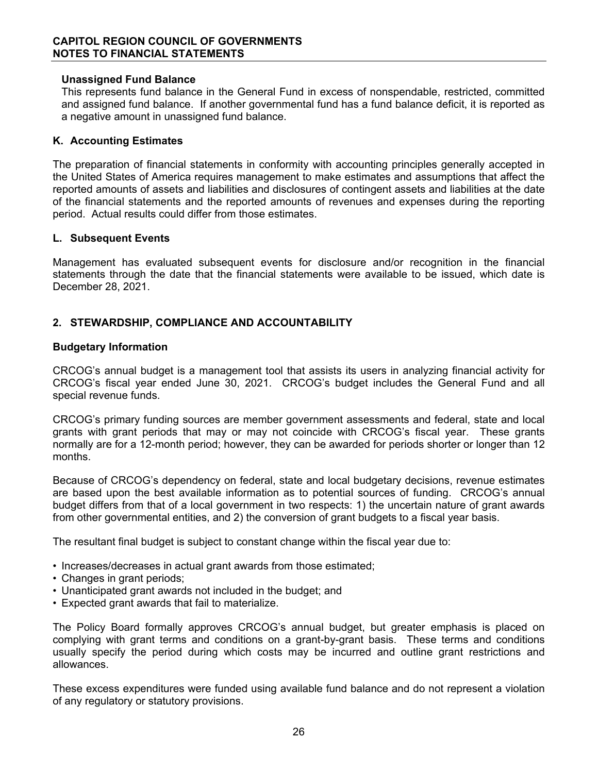#### **Unassigned Fund Balance**

This represents fund balance in the General Fund in excess of nonspendable, restricted, committed and assigned fund balance. If another governmental fund has a fund balance deficit, it is reported as a negative amount in unassigned fund balance.

## **K. Accounting Estimates**

The preparation of financial statements in conformity with accounting principles generally accepted in the United States of America requires management to make estimates and assumptions that affect the reported amounts of assets and liabilities and disclosures of contingent assets and liabilities at the date of the financial statements and the reported amounts of revenues and expenses during the reporting period. Actual results could differ from those estimates.

#### **L. Subsequent Events**

Management has evaluated subsequent events for disclosure and/or recognition in the financial statements through the date that the financial statements were available to be issued, which date is December 28, 2021.

# **2. STEWARDSHIP, COMPLIANCE AND ACCOUNTABILITY**

#### **Budgetary Information**

CRCOG's annual budget is a management tool that assists its users in analyzing financial activity for CRCOG's fiscal year ended June 30, 2021. CRCOG's budget includes the General Fund and all special revenue funds.

CRCOG's primary funding sources are member government assessments and federal, state and local grants with grant periods that may or may not coincide with CRCOG's fiscal year. These grants normally are for a 12-month period; however, they can be awarded for periods shorter or longer than 12 months.

Because of CRCOG's dependency on federal, state and local budgetary decisions, revenue estimates are based upon the best available information as to potential sources of funding. CRCOG's annual budget differs from that of a local government in two respects: 1) the uncertain nature of grant awards from other governmental entities, and 2) the conversion of grant budgets to a fiscal year basis.

The resultant final budget is subject to constant change within the fiscal year due to:

- Increases/decreases in actual grant awards from those estimated;
- Changes in grant periods;
- Unanticipated grant awards not included in the budget; and
- Expected grant awards that fail to materialize.

The Policy Board formally approves CRCOG's annual budget, but greater emphasis is placed on complying with grant terms and conditions on a grant-by-grant basis. These terms and conditions usually specify the period during which costs may be incurred and outline grant restrictions and allowances.

These excess expenditures were funded using available fund balance and do not represent a violation of any regulatory or statutory provisions.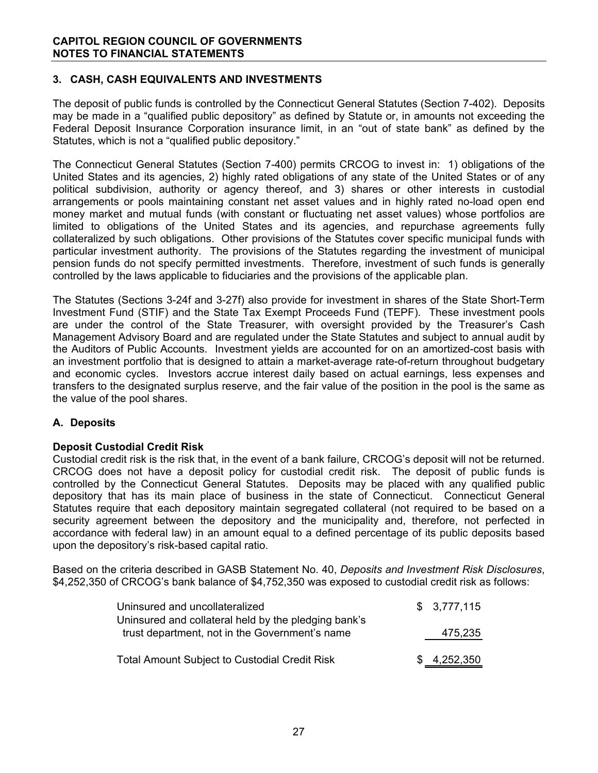# **3. CASH, CASH EQUIVALENTS AND INVESTMENTS**

The deposit of public funds is controlled by the Connecticut General Statutes (Section 7-402). Deposits may be made in a "qualified public depository" as defined by Statute or, in amounts not exceeding the Federal Deposit Insurance Corporation insurance limit, in an "out of state bank" as defined by the Statutes, which is not a "qualified public depository."

The Connecticut General Statutes (Section 7-400) permits CRCOG to invest in: 1) obligations of the United States and its agencies, 2) highly rated obligations of any state of the United States or of any political subdivision, authority or agency thereof, and 3) shares or other interests in custodial arrangements or pools maintaining constant net asset values and in highly rated no-load open end money market and mutual funds (with constant or fluctuating net asset values) whose portfolios are limited to obligations of the United States and its agencies, and repurchase agreements fully collateralized by such obligations. Other provisions of the Statutes cover specific municipal funds with particular investment authority. The provisions of the Statutes regarding the investment of municipal pension funds do not specify permitted investments. Therefore, investment of such funds is generally controlled by the laws applicable to fiduciaries and the provisions of the applicable plan.

The Statutes (Sections 3-24f and 3-27f) also provide for investment in shares of the State Short-Term Investment Fund (STIF) and the State Tax Exempt Proceeds Fund (TEPF). These investment pools are under the control of the State Treasurer, with oversight provided by the Treasurer's Cash Management Advisory Board and are regulated under the State Statutes and subject to annual audit by the Auditors of Public Accounts. Investment yields are accounted for on an amortized-cost basis with an investment portfolio that is designed to attain a market-average rate-of-return throughout budgetary and economic cycles. Investors accrue interest daily based on actual earnings, less expenses and transfers to the designated surplus reserve, and the fair value of the position in the pool is the same as the value of the pool shares.

## **A. Deposits**

#### **Deposit Custodial Credit Risk**

Custodial credit risk is the risk that, in the event of a bank failure, CRCOG's deposit will not be returned. CRCOG does not have a deposit policy for custodial credit risk. The deposit of public funds is controlled by the Connecticut General Statutes. Deposits may be placed with any qualified public depository that has its main place of business in the state of Connecticut. Connecticut General Statutes require that each depository maintain segregated collateral (not required to be based on a security agreement between the depository and the municipality and, therefore, not perfected in accordance with federal law) in an amount equal to a defined percentage of its public deposits based upon the depository's risk-based capital ratio.

Based on the criteria described in GASB Statement No. 40, *Deposits and Investment Risk Disclosures*, \$4,252,350 of CRCOG's bank balance of \$4,752,350 was exposed to custodial credit risk as follows:

| Uninsured and uncollateralized                       | \$3,777,115 |
|------------------------------------------------------|-------------|
| Uninsured and collateral held by the pledging bank's |             |
| trust department, not in the Government's name       | 475,235     |
|                                                      |             |
| <b>Total Amount Subject to Custodial Credit Risk</b> | \$4,252,350 |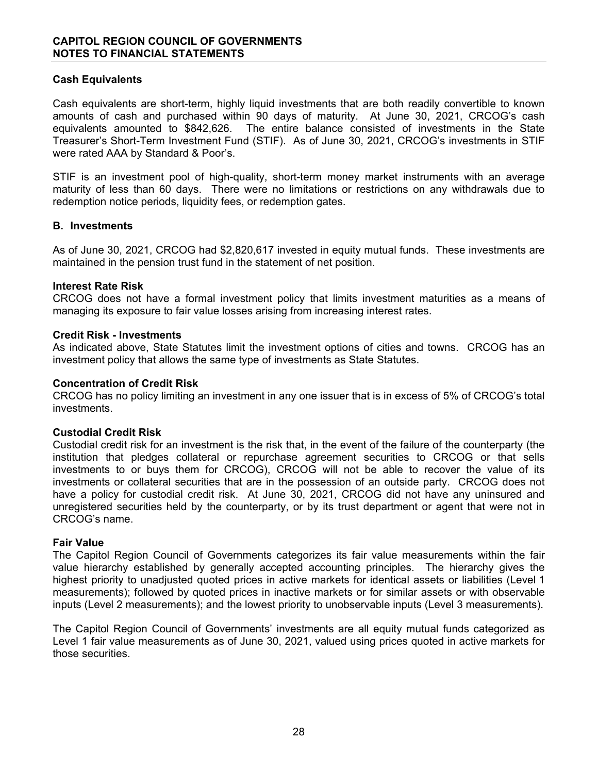## **Cash Equivalents**

Cash equivalents are short-term, highly liquid investments that are both readily convertible to known amounts of cash and purchased within 90 days of maturity. At June 30, 2021, CRCOG's cash equivalents amounted to \$842,626. The entire balance consisted of investments in the State Treasurer's Short-Term Investment Fund (STIF). As of June 30, 2021, CRCOG's investments in STIF were rated AAA by Standard & Poor's.

STIF is an investment pool of high-quality, short-term money market instruments with an average maturity of less than 60 days. There were no limitations or restrictions on any withdrawals due to redemption notice periods, liquidity fees, or redemption gates.

#### **B. Investments**

As of June 30, 2021, CRCOG had \$2,820,617 invested in equity mutual funds. These investments are maintained in the pension trust fund in the statement of net position.

#### **Interest Rate Risk**

CRCOG does not have a formal investment policy that limits investment maturities as a means of managing its exposure to fair value losses arising from increasing interest rates.

#### **Credit Risk - Investments**

As indicated above, State Statutes limit the investment options of cities and towns. CRCOG has an investment policy that allows the same type of investments as State Statutes.

#### **Concentration of Credit Risk**

CRCOG has no policy limiting an investment in any one issuer that is in excess of 5% of CRCOG's total investments.

#### **Custodial Credit Risk**

Custodial credit risk for an investment is the risk that, in the event of the failure of the counterparty (the institution that pledges collateral or repurchase agreement securities to CRCOG or that sells investments to or buys them for CRCOG), CRCOG will not be able to recover the value of its investments or collateral securities that are in the possession of an outside party. CRCOG does not have a policy for custodial credit risk. At June 30, 2021, CRCOG did not have any uninsured and unregistered securities held by the counterparty, or by its trust department or agent that were not in CRCOG's name.

#### **Fair Value**

The Capitol Region Council of Governments categorizes its fair value measurements within the fair value hierarchy established by generally accepted accounting principles. The hierarchy gives the highest priority to unadjusted quoted prices in active markets for identical assets or liabilities (Level 1 measurements); followed by quoted prices in inactive markets or for similar assets or with observable inputs (Level 2 measurements); and the lowest priority to unobservable inputs (Level 3 measurements).

The Capitol Region Council of Governments' investments are all equity mutual funds categorized as Level 1 fair value measurements as of June 30, 2021, valued using prices quoted in active markets for those securities.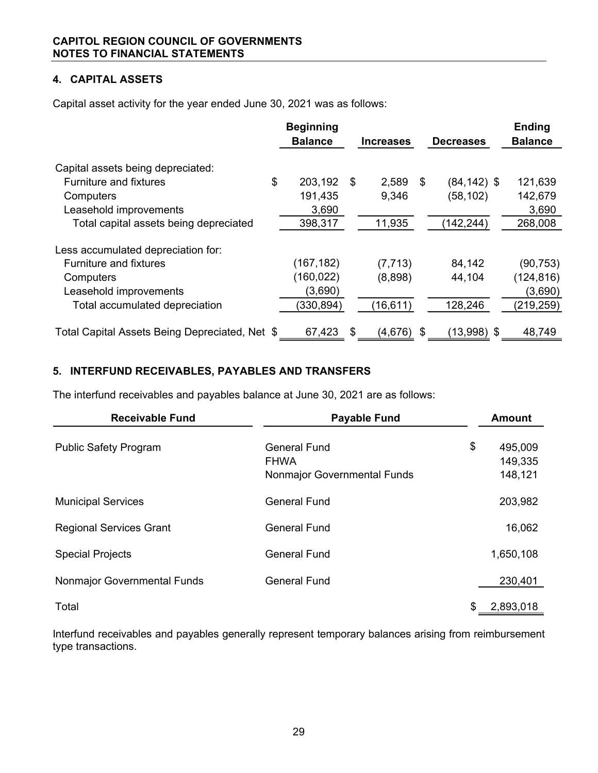# **4. CAPITAL ASSETS**

Capital asset activity for the year ended June 30, 2021 was as follows:

|                                                | <b>Beginning</b><br><b>Balance</b> | <b>Increases</b> | <b>Decreases</b> |                | <b>Ending</b><br><b>Balance</b> |
|------------------------------------------------|------------------------------------|------------------|------------------|----------------|---------------------------------|
| Capital assets being depreciated:              |                                    |                  |                  |                |                                 |
| \$<br><b>Furniture and fixtures</b>            | 203,192                            | \$<br>2,589      | \$               | $(84, 142)$ \$ | 121,639                         |
| Computers                                      | 191,435                            | 9,346            |                  | (58, 102)      | 142,679                         |
| Leasehold improvements                         | 3,690                              |                  |                  |                | 3,690                           |
| Total capital assets being depreciated         | 398,317                            | 11,935           |                  | (142, 244)     | 268,008                         |
| Less accumulated depreciation for:             |                                    |                  |                  |                |                                 |
| <b>Furniture and fixtures</b>                  | (167, 182)                         | (7, 713)         |                  | 84,142         | (90,753)                        |
| Computers                                      | (160, 022)                         | (8,898)          |                  | 44,104         | (124, 816)                      |
| Leasehold improvements                         | (3,690)                            |                  |                  |                | (3,690)                         |
| Total accumulated depreciation                 | (330, 894)                         | (16, 611)        |                  | 128,246        | (219, 259)                      |
| Total Capital Assets Being Depreciated, Net \$ | 67,423                             | \$<br>(4,676)    | \$               | (13,998) \$    | 48,749                          |

# **5. INTERFUND RECEIVABLES, PAYABLES AND TRANSFERS**

The interfund receivables and payables balance at June 30, 2021 are as follows:

| <b>Receivable Fund</b>         | <b>Payable Fund</b>                                                      | <b>Amount</b>                       |
|--------------------------------|--------------------------------------------------------------------------|-------------------------------------|
| <b>Public Safety Program</b>   | <b>General Fund</b><br><b>FHWA</b><br><b>Nonmajor Governmental Funds</b> | \$<br>495,009<br>149,335<br>148,121 |
| <b>Municipal Services</b>      | <b>General Fund</b>                                                      | 203,982                             |
| <b>Regional Services Grant</b> | <b>General Fund</b>                                                      | 16,062                              |
| <b>Special Projects</b>        | <b>General Fund</b>                                                      | 1,650,108                           |
| Nonmajor Governmental Funds    | <b>General Fund</b>                                                      | 230,401                             |
| Total                          |                                                                          | \$<br>2,893,018                     |

Interfund receivables and payables generally represent temporary balances arising from reimbursement type transactions.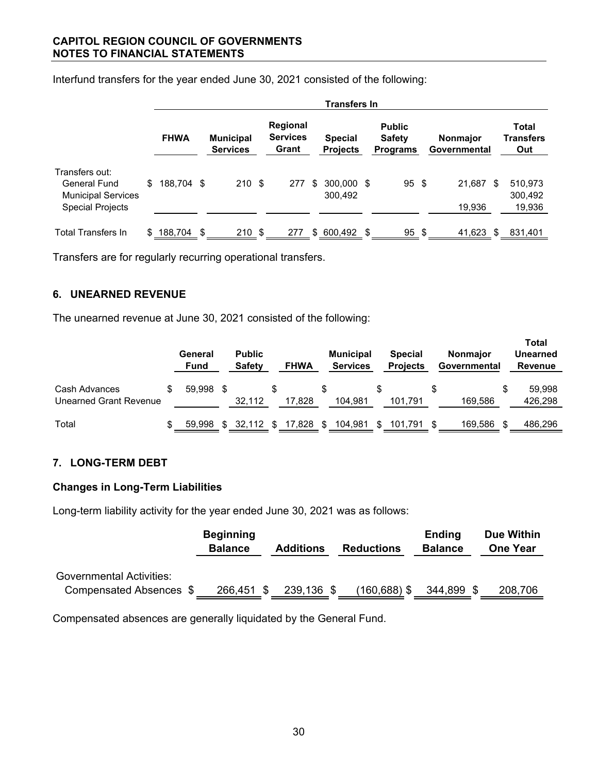|                                                             |     | <b>Transfers In</b> |    |                                     |  |                                      |    |                                   |     |                                                   |  |                                 |    |                                  |
|-------------------------------------------------------------|-----|---------------------|----|-------------------------------------|--|--------------------------------------|----|-----------------------------------|-----|---------------------------------------------------|--|---------------------------------|----|----------------------------------|
|                                                             |     | <b>FHWA</b>         |    | <b>Municipal</b><br><b>Services</b> |  | Regional<br><b>Services</b><br>Grant |    | <b>Special</b><br><b>Projects</b> |     | <b>Public</b><br><b>Safety</b><br><b>Programs</b> |  | <b>Nonmajor</b><br>Governmental |    | Total<br><b>Transfers</b><br>Out |
| Transfers out:<br>General Fund<br><b>Municipal Services</b> | \$  | 188,704 \$          |    | 210S                                |  | 277                                  | \$ | 300,000 \$<br>300,492             |     | $95 \text{ } $$                                   |  | 21,687                          | S  | 510,973<br>300,492               |
| <b>Special Projects</b>                                     |     |                     |    |                                     |  |                                      |    |                                   |     |                                                   |  | 19,936                          |    | 19,936                           |
| <b>Total Transfers In</b>                                   | \$. | 188,704             | \$ | 210S                                |  | 277                                  |    | \$600,492                         | \$. | $95 \text{ }$ \$                                  |  | 41,623                          | \$ | 831,401                          |

Interfund transfers for the year ended June 30, 2021 consisted of the following:

Transfers are for regularly recurring operational transfers.

## **6. UNEARNED REVENUE**

The unearned revenue at June 30, 2021 consisted of the following:

|                                         | General<br><b>Fund</b> |     | <b>Public</b><br><b>Safety</b> |     | <b>FHWA</b> |     | <b>Municipal</b><br><b>Services</b> | <b>Special</b><br><b>Projects</b> |    | <b>Nonmajor</b><br>Governmental |   | <b>Total</b><br><b>Unearned</b><br>Revenue |
|-----------------------------------------|------------------------|-----|--------------------------------|-----|-------------|-----|-------------------------------------|-----------------------------------|----|---------------------------------|---|--------------------------------------------|
| Cash Advances<br>Unearned Grant Revenue | 59.998                 |     | 32,112                         |     | 17.828      |     | 104.981                             | 101.791                           | S  | 169.586                         | S | 59.998<br>426,298                          |
| Total                                   | 59.998                 | \$. | 32.112                         | \$. | 17,828      | -SS | 104,981                             | 101,791                           | -S | 169.586                         |   | 486,296                                    |

# **7. LONG-TERM DEBT**

## **Changes in Long-Term Liabilities**

Long-term liability activity for the year ended June 30, 2021 was as follows:

|                                                            | <b>Beginning</b><br><b>Balance</b> | <b>Additions</b> | <b>Reductions</b> | <b>Ending</b><br><b>Balance</b> | Due Within<br><b>One Year</b> |
|------------------------------------------------------------|------------------------------------|------------------|-------------------|---------------------------------|-------------------------------|
| <b>Governmental Activities:</b><br>Compensated Absences \$ | 266,451                            | 239,136 \$       | (160,688) \$      | 344,899                         | 208,706                       |

Compensated absences are generally liquidated by the General Fund.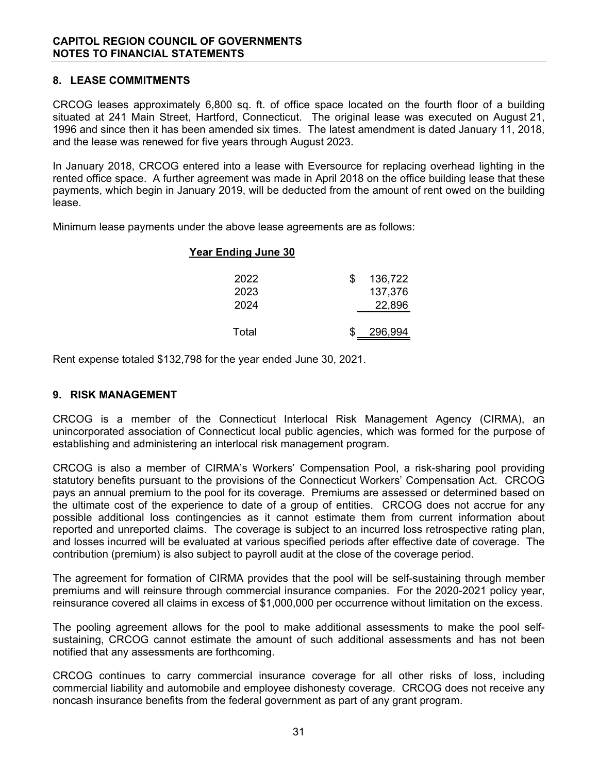## **8. LEASE COMMITMENTS**

CRCOG leases approximately 6,800 sq. ft. of office space located on the fourth floor of a building situated at 241 Main Street, Hartford, Connecticut. The original lease was executed on August 21, 1996 and since then it has been amended six times. The latest amendment is dated January 11, 2018, and the lease was renewed for five years through August 2023.

In January 2018, CRCOG entered into a lease with Eversource for replacing overhead lighting in the rented office space. A further agreement was made in April 2018 on the office building lease that these payments, which begin in January 2019, will be deducted from the amount of rent owed on the building lease.

Minimum lease payments under the above lease agreements are as follows:

# **Year Ending June 30**

| 2022  | 136,722 |
|-------|---------|
| 2023  | 137,376 |
| 2024  | 22,896  |
|       |         |
| Total | 296,994 |

Rent expense totaled \$132,798 for the year ended June 30, 2021.

## **9. RISK MANAGEMENT**

CRCOG is a member of the Connecticut Interlocal Risk Management Agency (CIRMA), an unincorporated association of Connecticut local public agencies, which was formed for the purpose of establishing and administering an interlocal risk management program.

CRCOG is also a member of CIRMA's Workers' Compensation Pool, a risk-sharing pool providing statutory benefits pursuant to the provisions of the Connecticut Workers' Compensation Act. CRCOG pays an annual premium to the pool for its coverage. Premiums are assessed or determined based on the ultimate cost of the experience to date of a group of entities. CRCOG does not accrue for any possible additional loss contingencies as it cannot estimate them from current information about reported and unreported claims. The coverage is subject to an incurred loss retrospective rating plan, and losses incurred will be evaluated at various specified periods after effective date of coverage. The contribution (premium) is also subject to payroll audit at the close of the coverage period.

The agreement for formation of CIRMA provides that the pool will be self-sustaining through member premiums and will reinsure through commercial insurance companies. For the 2020-2021 policy year, reinsurance covered all claims in excess of \$1,000,000 per occurrence without limitation on the excess.

The pooling agreement allows for the pool to make additional assessments to make the pool selfsustaining, CRCOG cannot estimate the amount of such additional assessments and has not been notified that any assessments are forthcoming.

CRCOG continues to carry commercial insurance coverage for all other risks of loss, including commercial liability and automobile and employee dishonesty coverage. CRCOG does not receive any noncash insurance benefits from the federal government as part of any grant program.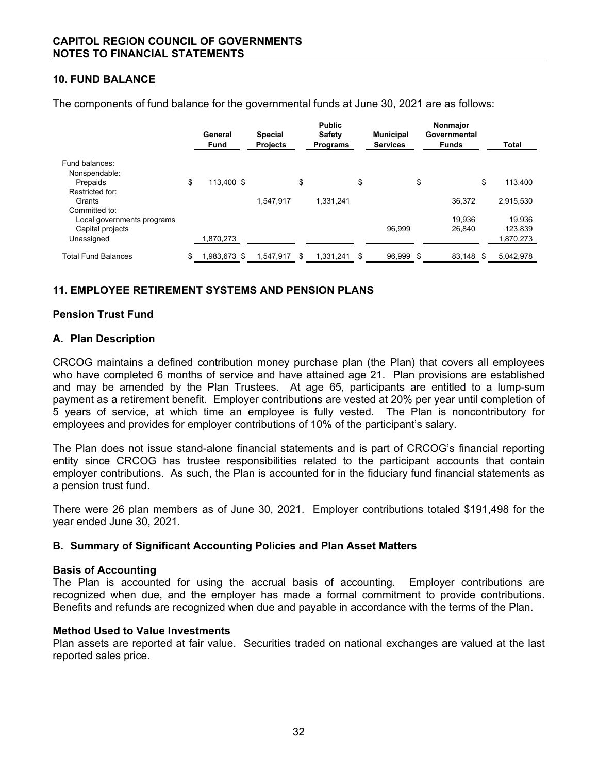## **10. FUND BALANCE**

|                                                | General<br><b>Fund</b> | <b>Special</b><br><b>Projects</b> | <b>Public</b><br><b>Safety</b><br><b>Programs</b> | <b>Municipal</b><br><b>Services</b> | Nonmajor<br>Governmental<br><b>Funds</b> | Total             |
|------------------------------------------------|------------------------|-----------------------------------|---------------------------------------------------|-------------------------------------|------------------------------------------|-------------------|
| Fund balances:<br>Nonspendable:                |                        |                                   |                                                   |                                     |                                          |                   |
| Prepaids                                       | \$<br>113.400 \$       |                                   | \$                                                | \$                                  | \$                                       | \$<br>113,400     |
| Restricted for:<br>Grants<br>Committed to:     |                        | 1.547.917                         | 1.331.241                                         |                                     | 36.372                                   | 2,915,530         |
| Local governments programs<br>Capital projects |                        |                                   |                                                   | 96.999                              | 19.936<br>26.840                         | 19,936<br>123,839 |
| Unassigned                                     | 1,870,273              |                                   |                                                   |                                     |                                          | 1,870,273         |
| <b>Total Fund Balances</b>                     | \$<br>1,983,673 \$     | 1,547,917                         | \$<br>1,331,241                                   | \$<br>96,999                        | \$<br>83,148 \$                          | 5,042,978         |

The components of fund balance for the governmental funds at June 30, 2021 are as follows:

# **11. EMPLOYEE RETIREMENT SYSTEMS AND PENSION PLANS**

#### **Pension Trust Fund**

#### **A. Plan Description**

CRCOG maintains a defined contribution money purchase plan (the Plan) that covers all employees who have completed 6 months of service and have attained age 21. Plan provisions are established and may be amended by the Plan Trustees. At age 65, participants are entitled to a lump-sum payment as a retirement benefit. Employer contributions are vested at 20% per year until completion of 5 years of service, at which time an employee is fully vested. The Plan is noncontributory for employees and provides for employer contributions of 10% of the participant's salary.

The Plan does not issue stand-alone financial statements and is part of CRCOG's financial reporting entity since CRCOG has trustee responsibilities related to the participant accounts that contain employer contributions. As such, the Plan is accounted for in the fiduciary fund financial statements as a pension trust fund.

There were 26 plan members as of June 30, 2021. Employer contributions totaled \$191,498 for the year ended June 30, 2021.

#### **B. Summary of Significant Accounting Policies and Plan Asset Matters**

#### **Basis of Accounting**

The Plan is accounted for using the accrual basis of accounting. Employer contributions are recognized when due, and the employer has made a formal commitment to provide contributions. Benefits and refunds are recognized when due and payable in accordance with the terms of the Plan.

#### **Method Used to Value Investments**

Plan assets are reported at fair value. Securities traded on national exchanges are valued at the last reported sales price.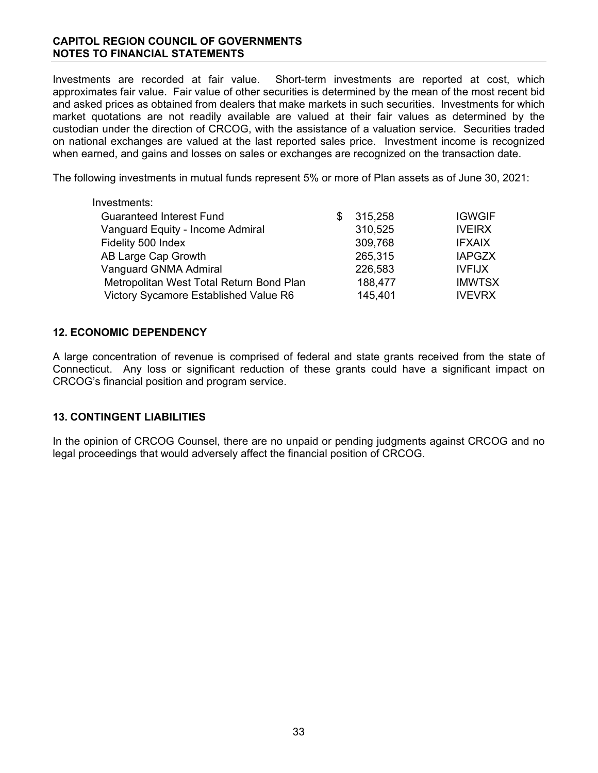## **CAPITOL REGION COUNCIL OF GOVERNMENTS NOTES TO FINANCIAL STATEMENTS**

Investments are recorded at fair value. Short-term investments are reported at cost, which approximates fair value. Fair value of other securities is determined by the mean of the most recent bid and asked prices as obtained from dealers that make markets in such securities. Investments for which market quotations are not readily available are valued at their fair values as determined by the custodian under the direction of CRCOG, with the assistance of a valuation service. Securities traded on national exchanges are valued at the last reported sales price. Investment income is recognized when earned, and gains and losses on sales or exchanges are recognized on the transaction date.

The following investments in mutual funds represent 5% or more of Plan assets as of June 30, 2021:

| Investments:                             |   |         |               |
|------------------------------------------|---|---------|---------------|
| <b>Guaranteed Interest Fund</b>          | S | 315,258 | <b>IGWGIF</b> |
| Vanguard Equity - Income Admiral         |   | 310,525 | <b>IVEIRX</b> |
| Fidelity 500 Index                       |   | 309,768 | <b>IFXAIX</b> |
| AB Large Cap Growth                      |   | 265,315 | <b>IAPGZX</b> |
| Vanguard GNMA Admiral                    |   | 226,583 | <b>IVFIJX</b> |
| Metropolitan West Total Return Bond Plan |   | 188,477 | <b>IMWTSX</b> |
| Victory Sycamore Established Value R6    |   | 145,401 | <b>IVEVRX</b> |
|                                          |   |         |               |

# **12. ECONOMIC DEPENDENCY**

A large concentration of revenue is comprised of federal and state grants received from the state of Connecticut. Any loss or significant reduction of these grants could have a significant impact on CRCOG's financial position and program service.

## **13. CONTINGENT LIABILITIES**

In the opinion of CRCOG Counsel, there are no unpaid or pending judgments against CRCOG and no legal proceedings that would adversely affect the financial position of CRCOG.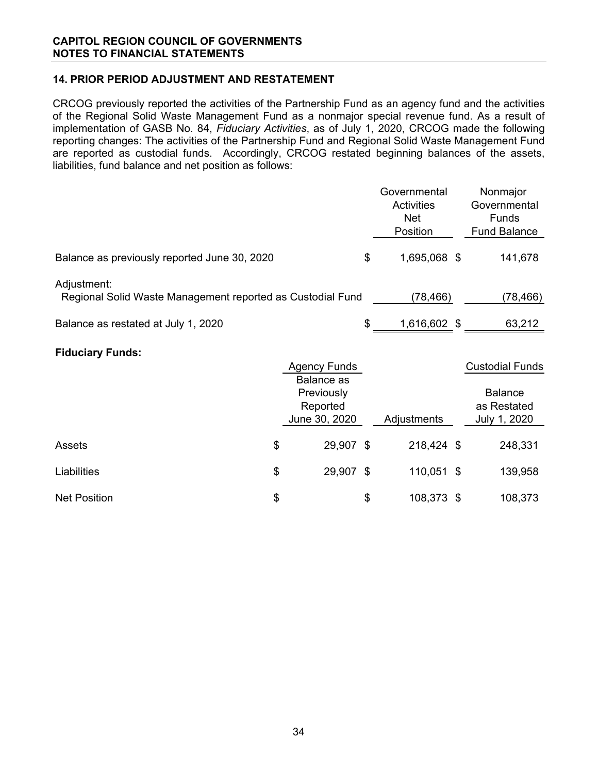# **14. PRIOR PERIOD ADJUSTMENT AND RESTATEMENT**

CRCOG previously reported the activities of the Partnership Fund as an agency fund and the activities of the Regional Solid Waste Management Fund as a nonmajor special revenue fund. As a result of implementation of GASB No. 84, *Fiduciary Activities*, as of July 1, 2020, CRCOG made the following reporting changes: The activities of the Partnership Fund and Regional Solid Waste Management Fund are reported as custodial funds. Accordingly, CRCOG restated beginning balances of the assets, liabilities, fund balance and net position as follows:

|                                                                           |    | Governmental                                                 |          |              |           | Nonmajor                                      |
|---------------------------------------------------------------------------|----|--------------------------------------------------------------|----------|--------------|-----------|-----------------------------------------------|
|                                                                           |    |                                                              |          | Activities   |           | Governmental                                  |
|                                                                           |    |                                                              |          | <b>Net</b>   |           | Funds                                         |
|                                                                           |    |                                                              |          | Position     |           | <b>Fund Balance</b>                           |
| Balance as previously reported June 30, 2020                              |    |                                                              | \$       | 1,695,068 \$ |           | 141,678                                       |
| Adjustment:<br>Regional Solid Waste Management reported as Custodial Fund |    |                                                              | (78,466) |              | (78, 466) |                                               |
| Balance as restated at July 1, 2020                                       |    |                                                              | \$       | 1,616,602 \$ |           | 63,212                                        |
| <b>Fiduciary Funds:</b>                                                   |    |                                                              |          |              |           |                                               |
|                                                                           |    | <b>Agency Funds</b>                                          |          |              |           | <b>Custodial Funds</b>                        |
|                                                                           |    | <b>Balance</b> as<br>Previously<br>Reported<br>June 30, 2020 |          | Adjustments  |           | <b>Balance</b><br>as Restated<br>July 1, 2020 |
| Assets                                                                    | \$ | 29,907 \$                                                    |          | 218,424 \$   |           | 248,331                                       |
| Liabilities                                                               | \$ | 29,907 \$                                                    |          | 110,051 \$   |           | 139,958                                       |
| <b>Net Position</b>                                                       | \$ |                                                              | \$       | 108,373 \$   |           | 108,373                                       |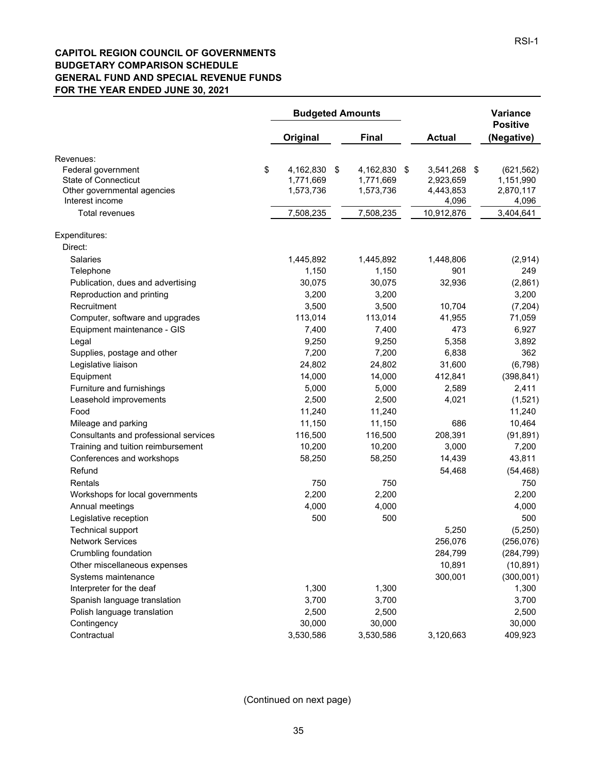#### **CAPITOL REGION COUNCIL OF GOVERNMENTS BUDGETARY COMPARISON SCHEDULE GENERAL FUND AND SPECIAL REVENUE FUNDS FOR THE YEAR ENDED JUNE 30, 2021**

|                                                                                               | <b>Budgeted Amounts</b>                   |    |                                        | Variance<br><b>Positive</b>            |                                      |
|-----------------------------------------------------------------------------------------------|-------------------------------------------|----|----------------------------------------|----------------------------------------|--------------------------------------|
|                                                                                               | Original                                  |    | <b>Final</b>                           | <b>Actual</b>                          | (Negative)                           |
| Revenues:<br>Federal government<br><b>State of Connecticut</b><br>Other governmental agencies | \$<br>4,162,830<br>1,771,669<br>1,573,736 | \$ | 4,162,830 \$<br>1,771,669<br>1,573,736 | 3,541,268 \$<br>2,923,659<br>4,443,853 | (621, 562)<br>1,151,990<br>2,870,117 |
| Interest income<br><b>Total revenues</b>                                                      | 7,508,235                                 |    | 7,508,235                              | 4,096<br>10,912,876                    | 4,096<br>3,404,641                   |
| Expenditures:                                                                                 |                                           |    |                                        |                                        |                                      |
| Direct:                                                                                       |                                           |    |                                        |                                        |                                      |
| <b>Salaries</b>                                                                               | 1,445,892                                 |    | 1,445,892                              | 1,448,806                              | (2,914)                              |
| Telephone                                                                                     | 1,150                                     |    | 1,150                                  | 901                                    | 249                                  |
| Publication, dues and advertising                                                             | 30,075                                    |    | 30,075                                 | 32,936                                 | (2,861)                              |
| Reproduction and printing                                                                     | 3,200                                     |    | 3,200                                  |                                        | 3,200                                |
| Recruitment                                                                                   | 3,500                                     |    | 3,500                                  | 10,704                                 | (7, 204)                             |
| Computer, software and upgrades                                                               | 113,014                                   |    | 113,014                                | 41,955                                 | 71,059                               |
| Equipment maintenance - GIS                                                                   | 7,400                                     |    | 7,400                                  | 473                                    | 6,927                                |
| Legal                                                                                         | 9,250                                     |    | 9,250                                  | 5,358                                  | 3,892                                |
| Supplies, postage and other                                                                   | 7,200                                     |    | 7,200                                  | 6,838                                  | 362                                  |
| Legislative liaison                                                                           | 24,802                                    |    | 24,802                                 | 31,600                                 | (6, 798)                             |
| Equipment                                                                                     | 14,000                                    |    | 14,000                                 | 412,841                                | (398, 841)                           |
|                                                                                               | 5,000                                     |    | 5,000                                  | 2,589                                  | 2,411                                |
| Furniture and furnishings                                                                     | 2,500                                     |    |                                        | 4,021                                  |                                      |
| Leasehold improvements<br>Food                                                                |                                           |    | 2,500                                  |                                        | (1,521)                              |
|                                                                                               | 11,240                                    |    | 11,240                                 |                                        | 11,240                               |
| Mileage and parking                                                                           | 11,150                                    |    | 11,150                                 | 686                                    | 10,464                               |
| Consultants and professional services                                                         | 116,500                                   |    | 116,500                                | 208,391                                | (91, 891)                            |
| Training and tuition reimbursement                                                            | 10,200                                    |    | 10,200                                 | 3,000                                  | 7,200                                |
| Conferences and workshops                                                                     | 58,250                                    |    | 58,250                                 | 14,439                                 | 43,811                               |
| Refund                                                                                        |                                           |    |                                        | 54,468                                 | (54, 468)                            |
| Rentals                                                                                       | 750                                       |    | 750                                    |                                        | 750                                  |
| Workshops for local governments                                                               | 2,200                                     |    | 2,200                                  |                                        | 2,200                                |
| Annual meetings                                                                               | 4,000                                     |    | 4,000                                  |                                        | 4,000                                |
| Legislative reception                                                                         | 500                                       |    | 500                                    |                                        | 500                                  |
| <b>Technical support</b>                                                                      |                                           |    |                                        | 5,250                                  | (5, 250)                             |
| <b>Network Services</b>                                                                       |                                           |    |                                        | 256,076                                | (256, 076)                           |
| Crumbling foundation                                                                          |                                           |    |                                        | 284,799                                | (284, 799)                           |
| Other miscellaneous expenses                                                                  |                                           |    |                                        | 10,891                                 | (10, 891)                            |
| Systems maintenance                                                                           |                                           |    |                                        | 300,001                                | (300, 001)                           |
| Interpreter for the deaf                                                                      | 1,300                                     |    | 1,300                                  |                                        | 1,300                                |
| Spanish language translation                                                                  | 3,700                                     |    | 3,700                                  |                                        | 3,700                                |
| Polish language translation                                                                   | 2,500                                     |    | 2,500                                  |                                        | 2,500                                |
| Contingency                                                                                   | 30,000                                    |    | 30,000                                 |                                        | 30,000                               |
| Contractual                                                                                   | 3,530,586                                 |    | 3,530,586                              | 3,120,663                              | 409,923                              |

(Continued on next page)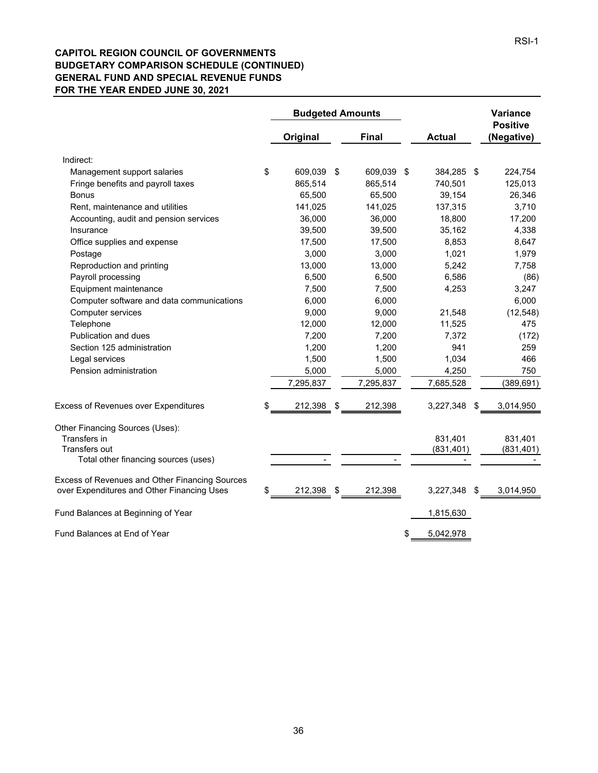#### **CAPITOL REGION COUNCIL OF GOVERNMENTS BUDGETARY COMPARISON SCHEDULE (CONTINUED) GENERAL FUND AND SPECIAL REVENUE FUNDS FOR THE YEAR ENDED JUNE 30, 2021**

|                                                                                              | <b>Budgeted Amounts</b> |              |    | <b>Variance</b> |                               |
|----------------------------------------------------------------------------------------------|-------------------------|--------------|----|-----------------|-------------------------------|
|                                                                                              | Original                | <b>Final</b> |    | <b>Actual</b>   | <b>Positive</b><br>(Negative) |
| Indirect:                                                                                    |                         |              |    |                 |                               |
| Management support salaries                                                                  | \$<br>609,039 \$        | 609,039 \$   |    | 384,285 \$      | 224,754                       |
| Fringe benefits and payroll taxes                                                            | 865,514                 | 865,514      |    | 740,501         | 125,013                       |
| <b>Bonus</b>                                                                                 | 65,500                  | 65,500       |    | 39,154          | 26,346                        |
| Rent, maintenance and utilities                                                              | 141,025                 | 141,025      |    | 137,315         | 3,710                         |
| Accounting, audit and pension services                                                       | 36,000                  | 36,000       |    | 18,800          | 17,200                        |
| Insurance                                                                                    | 39,500                  | 39,500       |    | 35,162          | 4,338                         |
| Office supplies and expense                                                                  | 17,500                  | 17,500       |    | 8,853           | 8,647                         |
| Postage                                                                                      | 3,000                   | 3,000        |    | 1,021           | 1,979                         |
| Reproduction and printing                                                                    | 13,000                  | 13,000       |    | 5,242           | 7,758                         |
| Payroll processing                                                                           | 6,500                   | 6,500        |    | 6,586           | (86)                          |
| Equipment maintenance                                                                        | 7,500                   | 7,500        |    | 4,253           | 3,247                         |
| Computer software and data communications                                                    | 6,000                   | 6,000        |    |                 | 6,000                         |
| Computer services                                                                            | 9,000                   | 9,000        |    | 21,548          | (12, 548)                     |
| Telephone                                                                                    | 12,000                  | 12,000       |    | 11,525          | 475                           |
| Publication and dues                                                                         | 7,200                   | 7,200        |    | 7,372           | (172)                         |
| Section 125 administration                                                                   | 1,200                   | 1,200        |    | 941             | 259                           |
| Legal services                                                                               | 1,500                   | 1,500        |    | 1,034           | 466                           |
| Pension administration                                                                       | 5,000                   | 5,000        |    | 4,250           | 750                           |
|                                                                                              | 7,295,837               | 7,295,837    |    | 7,685,528       | (389, 691)                    |
| <b>Excess of Revenues over Expenditures</b>                                                  | \$<br>212,398 \$        | 212,398      |    | 3,227,348       | \$<br>3,014,950               |
| Other Financing Sources (Uses):                                                              |                         |              |    |                 |                               |
| Transfers in                                                                                 |                         |              |    | 831,401         | 831,401                       |
| Transfers out                                                                                |                         |              |    | (831, 401)      | (831, 401)                    |
| Total other financing sources (uses)                                                         |                         |              |    |                 |                               |
| Excess of Revenues and Other Financing Sources<br>over Expenditures and Other Financing Uses | \$<br>212,398 \$        | 212,398      |    | 3,227,348       | 3,014,950                     |
| Fund Balances at Beginning of Year                                                           |                         |              |    | 1,815,630       |                               |
| Fund Balances at End of Year                                                                 |                         |              | \$ | 5,042,978       |                               |
|                                                                                              |                         |              |    |                 |                               |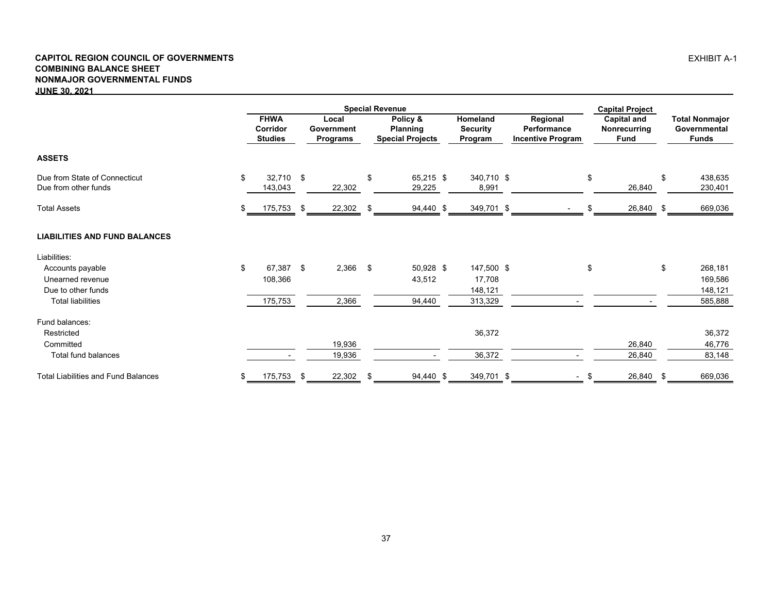#### **CAPITOL REGION COUNCIL OF GOVERNMENTS COMBINING BALANCE SHEET NONMAJOR GOVERNMENTAL FUNDS JUNE 30, 2021**

|                                                       |    | <b>Special Revenue</b>                    |     |                                        |      |                                                        |  |                                        |                                                     |    | <b>Capital Project</b>                     |      |                                                       |  |
|-------------------------------------------------------|----|-------------------------------------------|-----|----------------------------------------|------|--------------------------------------------------------|--|----------------------------------------|-----------------------------------------------------|----|--------------------------------------------|------|-------------------------------------------------------|--|
|                                                       |    | <b>FHWA</b><br>Corridor<br><b>Studies</b> |     | Local<br>Government<br><b>Programs</b> |      | Policy &<br><b>Planning</b><br><b>Special Projects</b> |  | Homeland<br><b>Security</b><br>Program | Regional<br>Performance<br><b>Incentive Program</b> |    | <b>Capital and</b><br>Nonrecurring<br>Fund |      | <b>Total Nonmajor</b><br>Governmental<br><b>Funds</b> |  |
| <b>ASSETS</b>                                         |    |                                           |     |                                        |      |                                                        |  |                                        |                                                     |    |                                            |      |                                                       |  |
| Due from State of Connecticut<br>Due from other funds | \$ | 32,710 \$<br>143,043                      |     | 22,302                                 | \$   | 65,215 \$<br>29,225                                    |  | 340,710 \$<br>8,991                    |                                                     | \$ | 26,840                                     | \$   | 438,635<br>230,401                                    |  |
| <b>Total Assets</b>                                   | \$ | 175,753                                   | -\$ | 22,302                                 | - \$ | 94,440 \$                                              |  | 349,701 \$                             |                                                     |    | 26,840                                     | - \$ | 669,036                                               |  |
| <b>LIABILITIES AND FUND BALANCES</b>                  |    |                                           |     |                                        |      |                                                        |  |                                        |                                                     |    |                                            |      |                                                       |  |
| Liabilities:                                          |    |                                           |     |                                        |      |                                                        |  |                                        |                                                     |    |                                            |      |                                                       |  |
| Accounts payable                                      | \$ | 67,387 \$                                 |     | $2,366$ \$                             |      | 50,928 \$                                              |  | 147,500 \$                             |                                                     | \$ |                                            | \$   | 268,181                                               |  |
| Unearned revenue                                      |    | 108,366                                   |     |                                        |      | 43,512                                                 |  | 17,708                                 |                                                     |    |                                            |      | 169,586                                               |  |
| Due to other funds                                    |    |                                           |     |                                        |      |                                                        |  | 148,121                                |                                                     |    |                                            |      | 148,121                                               |  |
| <b>Total liabilities</b>                              |    | 175,753                                   |     | 2,366                                  |      | 94,440                                                 |  | 313,329                                |                                                     |    |                                            |      | 585,888                                               |  |
| Fund balances:                                        |    |                                           |     |                                        |      |                                                        |  |                                        |                                                     |    |                                            |      |                                                       |  |
| Restricted                                            |    |                                           |     |                                        |      |                                                        |  | 36,372                                 |                                                     |    |                                            |      | 36,372                                                |  |
| Committed                                             |    |                                           |     | 19,936                                 |      |                                                        |  |                                        |                                                     |    | 26,840                                     |      | 46,776                                                |  |
| Total fund balances                                   |    |                                           |     | 19,936                                 |      |                                                        |  | 36,372                                 |                                                     |    | 26,840                                     |      | 83,148                                                |  |
| <b>Total Liabilities and Fund Balances</b>            | \$ | 175,753                                   | \$  | 22,302                                 | \$   | 94,440 \$                                              |  | 349,701 \$                             | $\overline{\phantom{a}}$                            | \$ | 26,840 \$                                  |      | 669,036                                               |  |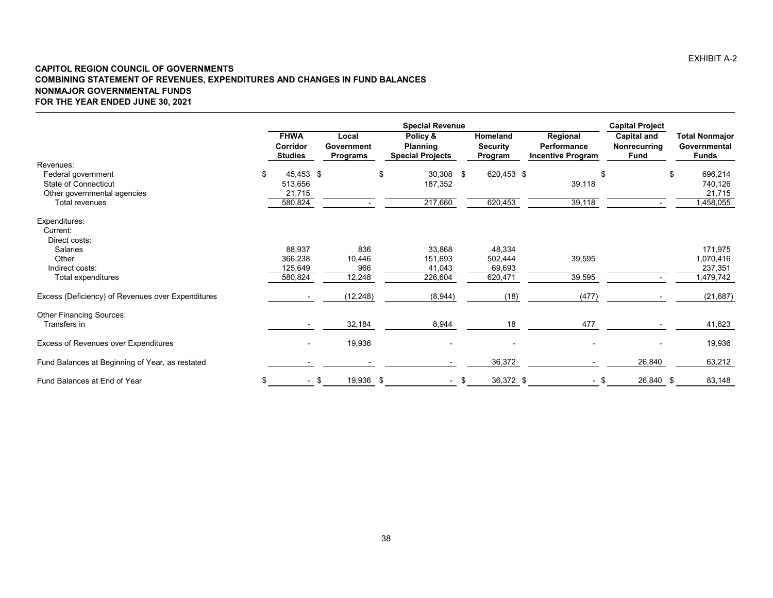#### **CAPITOL REGION COUNCIL OF GOVERNMENTS COMBINING STATEMENT OF REVENUES, EXPENDITURES AND CHANGES IN FUND BALANCES NONMAJOR GOVERNMENTAL FUNDS FOR THE YEAR ENDED JUNE 30, 2021**

|                                                   |                                           |                                        | <b>Capital Project</b>                                 |      |                                        |                                                     |                                     |                                                       |
|---------------------------------------------------|-------------------------------------------|----------------------------------------|--------------------------------------------------------|------|----------------------------------------|-----------------------------------------------------|-------------------------------------|-------------------------------------------------------|
|                                                   | <b>FHWA</b><br>Corridor<br><b>Studies</b> | Local<br>Government<br><b>Programs</b> | Policy &<br><b>Planning</b><br><b>Special Projects</b> |      | Homeland<br><b>Security</b><br>Program | Regional<br>Performance<br><b>Incentive Program</b> | Capital and<br>Nonrecurring<br>Fund | <b>Total Nonmajor</b><br>Governmental<br><b>Funds</b> |
| Revenues:                                         |                                           |                                        |                                                        |      |                                        |                                                     |                                     |                                                       |
| Federal government<br><b>State of Connecticut</b> | \$<br>45,453 \$<br>513,656                |                                        | \$<br>30,308 \$<br>187,352                             |      | 620,453 \$                             | \$<br>39,118                                        |                                     | 696,214<br>\$<br>740,126                              |
| Other governmental agencies                       | 21,715                                    |                                        |                                                        |      |                                        |                                                     |                                     | 21,715                                                |
| <b>Total revenues</b>                             | 580,824                                   |                                        | 217,660                                                |      | 620,453                                | 39,118                                              |                                     | 1,458,055                                             |
| Expenditures:                                     |                                           |                                        |                                                        |      |                                        |                                                     |                                     |                                                       |
| Current:                                          |                                           |                                        |                                                        |      |                                        |                                                     |                                     |                                                       |
| Direct costs:                                     |                                           |                                        |                                                        |      |                                        |                                                     |                                     |                                                       |
| Salaries<br>Other                                 | 88,937<br>366,238                         | 836<br>10,446                          | 33,868<br>151,693                                      |      | 48,334<br>502,444                      |                                                     |                                     | 171,975<br>1,070,416                                  |
| Indirect costs:                                   | 125,649                                   | 966                                    | 41,043                                                 |      | 69,693                                 | 39,595                                              |                                     | 237,351                                               |
| Total expenditures                                | 580,824                                   | 12,248                                 | 226,604                                                |      | 620,471                                | 39,595                                              |                                     | 1,479,742                                             |
| Excess (Deficiency) of Revenues over Expenditures |                                           | (12, 248)                              | (8,944)                                                |      | (18)                                   | (477)                                               |                                     | (21, 687)                                             |
| <b>Other Financing Sources:</b>                   |                                           |                                        |                                                        |      |                                        |                                                     |                                     |                                                       |
| Transfers in                                      |                                           | 32,184                                 | 8,944                                                  |      | 18                                     | 477                                                 |                                     | 41,623                                                |
| Excess of Revenues over Expenditures              |                                           | 19,936                                 |                                                        |      |                                        |                                                     |                                     | 19,936                                                |
| Fund Balances at Beginning of Year, as restated   |                                           |                                        |                                                        |      | 36,372                                 |                                                     | 26,840                              | 63,212                                                |
| Fund Balances at End of Year                      | \$<br>$\sim$                              | 19,936 \$<br>\$                        |                                                        | - \$ | 36,372 \$                              | - \$                                                | 26,840 \$                           | 83,148                                                |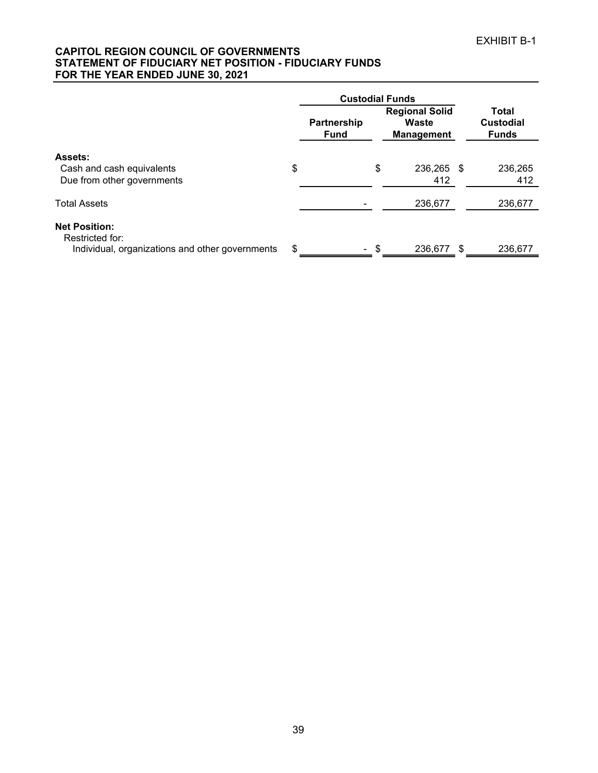#### **CAPITOL REGION COUNCIL OF GOVERNMENTS STATEMENT OF FIDUCIARY NET POSITION - FIDUCIARY FUNDS FOR THE YEAR ENDED JUNE 30, 2021**

|                                                                                            |    | <b>Custodial Funds</b>     |                                                     |      |                                                  |
|--------------------------------------------------------------------------------------------|----|----------------------------|-----------------------------------------------------|------|--------------------------------------------------|
|                                                                                            |    | Partnership<br><b>Fund</b> | <b>Regional Solid</b><br>Waste<br><b>Management</b> |      | <b>Total</b><br><b>Custodial</b><br><b>Funds</b> |
| Assets:<br>Cash and cash equivalents<br>Due from other governments                         | \$ |                            | \$<br>236,265<br>412                                | - \$ | 236,265<br>412                                   |
| <b>Total Assets</b>                                                                        |    |                            | 236,677                                             |      | 236,677                                          |
| <b>Net Position:</b><br>Restricted for:<br>Individual, organizations and other governments | S  | $\sim$                     | \$<br>236.677                                       | -S   | 236.677                                          |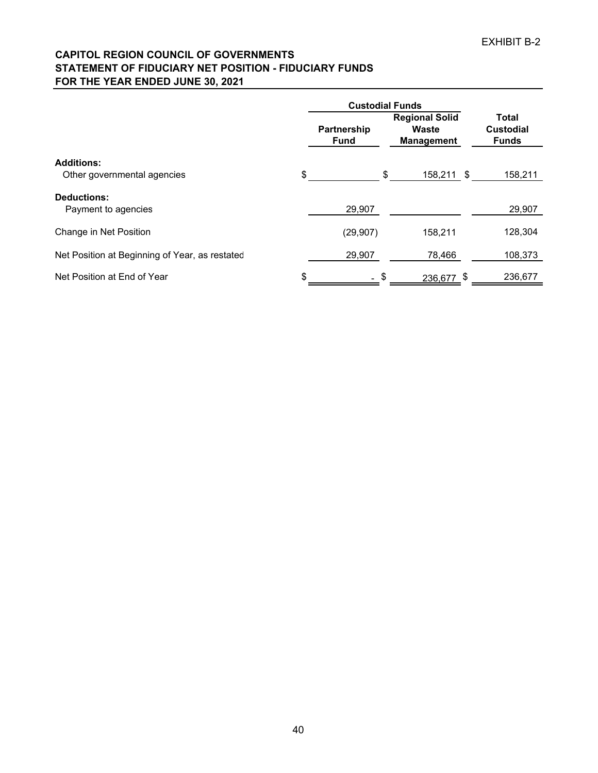# **CAPITOL REGION COUNCIL OF GOVERNMENTS STATEMENT OF FIDUCIARY NET POSITION - FIDUCIARY FUNDS FOR THE YEAR ENDED JUNE 30, 2021**

|                                                | <b>Custodial Funds</b>            |                                                     |     |                                                  |
|------------------------------------------------|-----------------------------------|-----------------------------------------------------|-----|--------------------------------------------------|
|                                                | <b>Partnership</b><br><b>Fund</b> | <b>Regional Solid</b><br>Waste<br><b>Management</b> |     | <b>Total</b><br><b>Custodial</b><br><b>Funds</b> |
| <b>Additions:</b>                              |                                   |                                                     |     |                                                  |
| Other governmental agencies                    | \$                                | \$<br>158,211                                       | -\$ | 158,211                                          |
| <b>Deductions:</b><br>Payment to agencies      | 29,907                            |                                                     |     | 29,907                                           |
| Change in Net Position                         | (29, 907)                         | 158,211                                             |     | 128,304                                          |
| Net Position at Beginning of Year, as restated | 29,907                            | 78,466                                              |     | 108,373                                          |
| Net Position at End of Year                    | \$<br>$-$ \$                      | 236,677 \$                                          |     | 236,677                                          |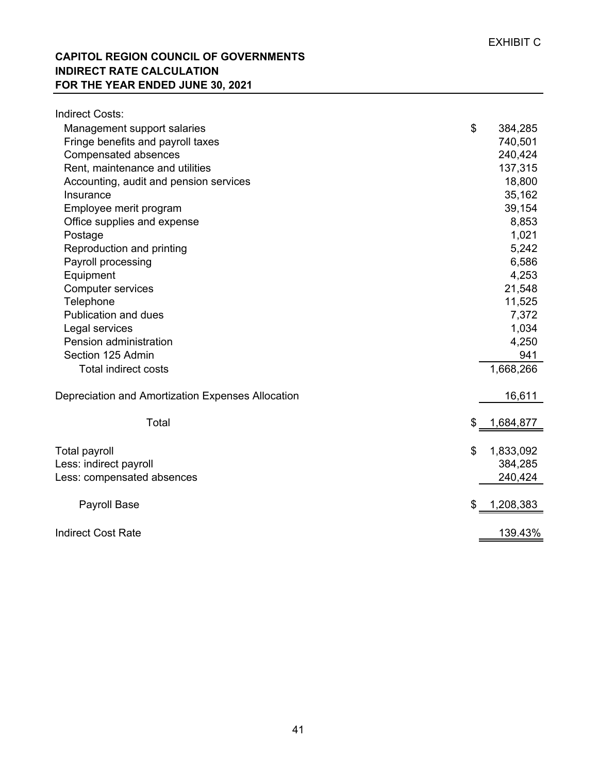# **CAPITOL REGION COUNCIL OF GOVERNMENTS INDIRECT RATE CALCULATION FOR THE YEAR ENDED JUNE 30, 2021**

| <b>Indirect Costs:</b>                            |                 |
|---------------------------------------------------|-----------------|
| Management support salaries                       | \$<br>384,285   |
| Fringe benefits and payroll taxes                 | 740,501         |
| Compensated absences                              | 240,424         |
| Rent, maintenance and utilities                   | 137,315         |
| Accounting, audit and pension services            | 18,800          |
| Insurance                                         | 35,162          |
| Employee merit program                            | 39,154          |
| Office supplies and expense                       | 8,853           |
| Postage                                           | 1,021           |
| Reproduction and printing                         | 5,242           |
| Payroll processing                                | 6,586           |
| Equipment                                         | 4,253           |
| <b>Computer services</b>                          | 21,548          |
| Telephone                                         | 11,525          |
| Publication and dues                              | 7,372           |
| Legal services                                    | 1,034           |
| Pension administration                            | 4,250           |
| Section 125 Admin                                 | 941             |
| <b>Total indirect costs</b>                       | 1,668,266       |
| Depreciation and Amortization Expenses Allocation | 16,611          |
| Total                                             | \$<br>1,684,877 |
| <b>Total payroll</b>                              | \$<br>1,833,092 |
| Less: indirect payroll                            | 384,285         |
| Less: compensated absences                        | 240,424         |
|                                                   |                 |
| <b>Payroll Base</b>                               | 1,208,383<br>\$ |
| <b>Indirect Cost Rate</b>                         | 139.43%         |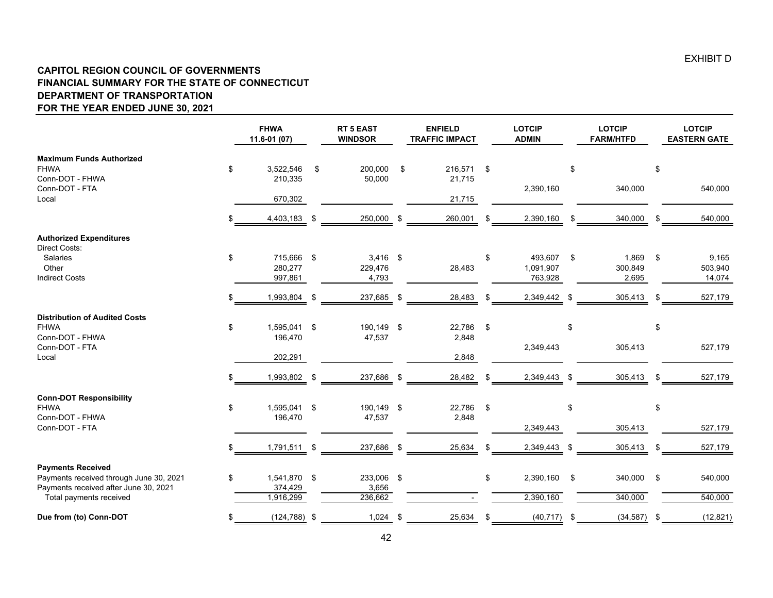#### **CAPITOL REGION COUNCIL OF GOVERNMENTS FINANCIAL SUMMARY FOR THE STATE OF CONNECTICUT DEPARTMENT OF TRANSPORTATION FOR THE YEAR ENDED JUNE 30, 2021**

|                                                                                                              |     | <b>FHWA</b><br>11.6-01 (07)      |      | <b>RT 5 EAST</b><br><b>WINDSOR</b> |     | <b>ENFIELD</b><br><b>TRAFFIC IMPACT</b> | <b>LOTCIP</b><br><b>ADMIN</b>         |      | <b>LOTCIP</b><br><b>FARM/HTFD</b> |               | <b>LOTCIP</b><br><b>EASTERN GATE</b> |
|--------------------------------------------------------------------------------------------------------------|-----|----------------------------------|------|------------------------------------|-----|-----------------------------------------|---------------------------------------|------|-----------------------------------|---------------|--------------------------------------|
| <b>Maximum Funds Authorized</b><br><b>FHWA</b><br>Conn-DOT - FHWA                                            | \$  | 3,522,546<br>210,335             | \$   | 200,000<br>50,000                  | \$  | 216,571<br>21,715                       | \$                                    | \$   |                                   | \$            |                                      |
| Conn-DOT - FTA<br>Local                                                                                      |     | 670,302                          |      |                                    |     | 21,715                                  | 2,390,160                             |      | 340,000                           |               | 540,000                              |
|                                                                                                              | \$. | 4,403,183                        | - \$ | 250,000 \$                         |     | 260,001                                 | \$<br>2,390,160                       | \$   | 340,000                           | \$            | 540,000                              |
| <b>Authorized Expenditures</b><br>Direct Costs:                                                              |     |                                  |      |                                    |     |                                         |                                       |      |                                   |               |                                      |
| Salaries<br>Other<br><b>Indirect Costs</b>                                                                   | \$  | 715,666 \$<br>280,277<br>997,861 |      | $3,416$ \$<br>229,476<br>4,793     |     | 28,483                                  | \$<br>493,607<br>1,091,907<br>763,928 | - \$ | 1,869<br>300,849<br>2,695         | $\mathbf{\$}$ | 9,165<br>503,940<br>14,074           |
|                                                                                                              |     | 1,993,804                        | \$   | 237,685                            | -\$ | 28,483                                  | \$<br>2,349,442                       | \$   | 305,413                           | \$            | 527,179                              |
| <b>Distribution of Audited Costs</b><br><b>FHWA</b><br>Conn-DOT - FHWA                                       | \$  | 1,595,041 \$<br>196,470          |      | 190,149 \$<br>47,537               |     | 22,786<br>2,848                         | \$                                    | \$   |                                   | \$            |                                      |
| Conn-DOT - FTA<br>Local                                                                                      |     | 202,291                          |      |                                    |     | 2,848                                   | 2,349,443                             |      | 305,413                           |               | 527,179                              |
|                                                                                                              |     | 1,993,802 \$                     |      | 237,686 \$                         |     | 28,482                                  | \$<br>2,349,443 \$                    |      | 305,413                           | \$.           | 527,179                              |
| <b>Conn-DOT Responsibility</b><br><b>FHWA</b><br>Conn-DOT - FHWA                                             | \$  | 1,595,041 \$<br>196,470          |      | 190,149 \$<br>47,537               |     | 22,786<br>2,848                         | \$                                    | \$   |                                   | \$            |                                      |
| Conn-DOT - FTA                                                                                               |     |                                  |      |                                    |     |                                         | 2,349,443                             |      | 305,413                           |               | 527,179                              |
|                                                                                                              | \$. | 1,791,511 \$                     |      | 237,686 \$                         |     | 25,634                                  | \$<br>2,349,443 \$                    |      | 305,413                           | \$            | 527,179                              |
| <b>Payments Received</b><br>Payments received through June 30, 2021<br>Payments received after June 30, 2021 | \$  | 1,541,870 \$<br>374,429          |      | 233,006 \$<br>3,656                |     |                                         | \$<br>2,390,160                       | -\$  | 340,000                           | - \$          | 540,000                              |
| Total payments received                                                                                      |     | 1,916,299                        |      | 236,662                            |     |                                         | 2,390,160                             |      | 340,000                           |               | 540,000                              |
| Due from (to) Conn-DOT                                                                                       | \$  | $(124, 788)$ \$                  |      | $1,024$ \$                         |     | 25,634                                  | \$<br>(40, 717)                       | \$   | (34, 587)                         | \$            | (12, 821)                            |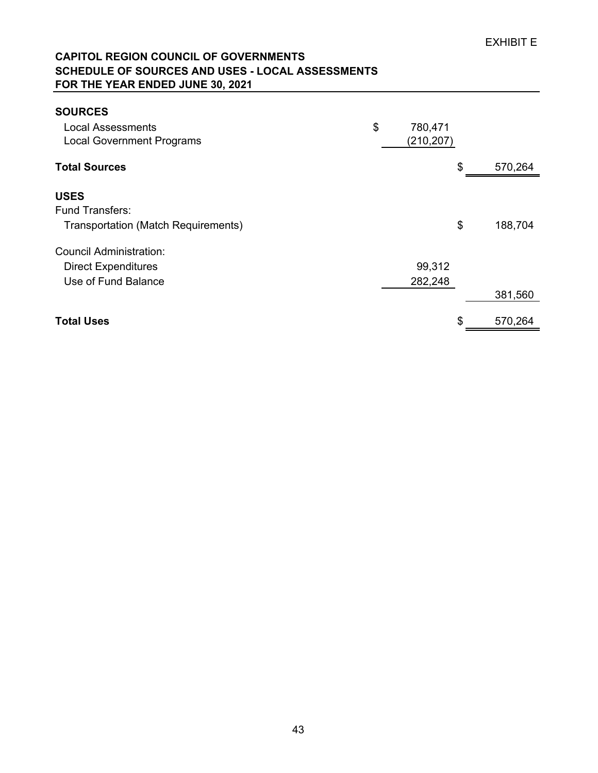# **CAPITOL REGION COUNCIL OF GOVERNMENTS SCHEDULE OF SOURCES AND USES - LOCAL ASSESSMENTS FOR THE YEAR ENDED JUNE 30, 2021**

| <b>SOURCES</b>                             |               |               |
|--------------------------------------------|---------------|---------------|
| <b>Local Assessments</b>                   | \$<br>780,471 |               |
| <b>Local Government Programs</b>           | (210, 207)    |               |
| <b>Total Sources</b>                       |               | \$<br>570,264 |
| <b>USES</b>                                |               |               |
| <b>Fund Transfers:</b>                     |               |               |
| <b>Transportation (Match Requirements)</b> |               | \$<br>188,704 |
| Council Administration:                    |               |               |
| <b>Direct Expenditures</b>                 | 99,312        |               |
| Use of Fund Balance                        | 282,248       |               |
|                                            |               | 381,560       |
| <b>Total Uses</b>                          |               | \$<br>570,264 |
|                                            |               |               |